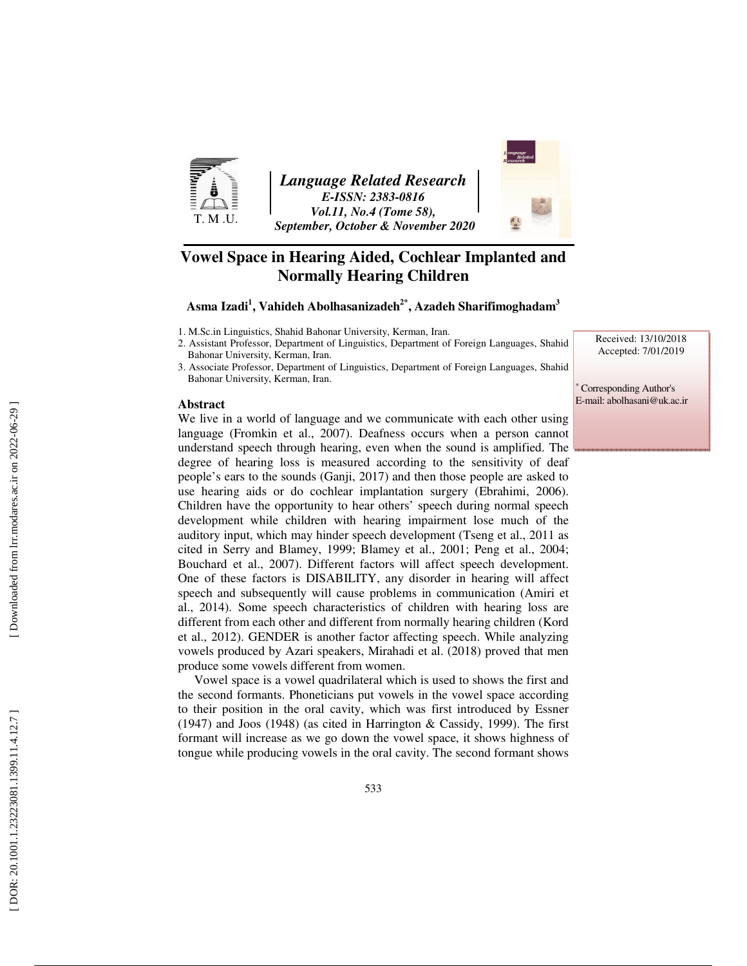

*Language Related Research E-ISSN: 2383-0816 Vol.11, No.4 (Tome 58), September, October & November 2020* 



## **Vowel Space in Hearing Aided, Cochlear Implanted and Normally Hearing Children**

**Asma Izadi 1 , Vahideh Abolhasanizadeh2\*, Azadeh Sharifimoghadam 3**

1. M.Sc.in Linguistics, Shahid Bahonar University, Kerman, Iran.

- 2. Assistant Professor, Department of Linguistics, Department of Foreign Languages, Shahid Bahonar University, Kerman, Iran.
- 3. Associate Professor, Department of Linguistics, Department of Foreign Languages, Shahid Bahonar University, Kerman, Iran.

#### **Abstract**

We live in a world of language and we communicate with each other using language (Fromkin et al., 2007). Deafness occurs when a person cannot understand speech through hearing, even when the sound is amplified. The degree of hearing loss is measured according to the sensitivity of deaf people's ears to the sounds (Ganji, 2017) and then those people are asked to use hearing aids or do cochlear implantation surgery (Ebrahimi, 2006). Children have the opportunity to hear others' speech during normal speech development while children with hearing impairment lose much of the auditory input, which may hinder speech development (Tseng et al., 2011 as cited in Serry and Blamey, 1999; Blamey et al., 2001; Peng et al., 2004; Bouchard et al., 2007). Different factors will affect speech development. One of these factors is DISABILITY, any disorder in hearing will affect speech and subsequently will cause problems in communication (Amiri et al., 2014). Some speech characteristics of children with hearing loss are different from each other and different from normally hearing children (Kord et al., 2012). GENDER is another factor affecting speech. While analyzing vowels produced by Azari speakers, Mirahadi et al. (2018) proved that men produce some vowels different from women.

Vowel space is a vowel quadrilateral which is used to shows the first and the second formants. Phoneticians put vowels in the vowel space according to their position in the oral cavity, which was first introduced by Essner (1947) and Joos (1948) (as cited in Harrington & Cassidy, 1999). The first formant will increase as we go down the vowel space, it shows highness of tongue while producing vowels in the oral cavity. The second formant shows Received: 13/10/2018 Accepted: 7/01/2019

∗ Corresponding Author's E-mail: abolhasani@uk.ac.ir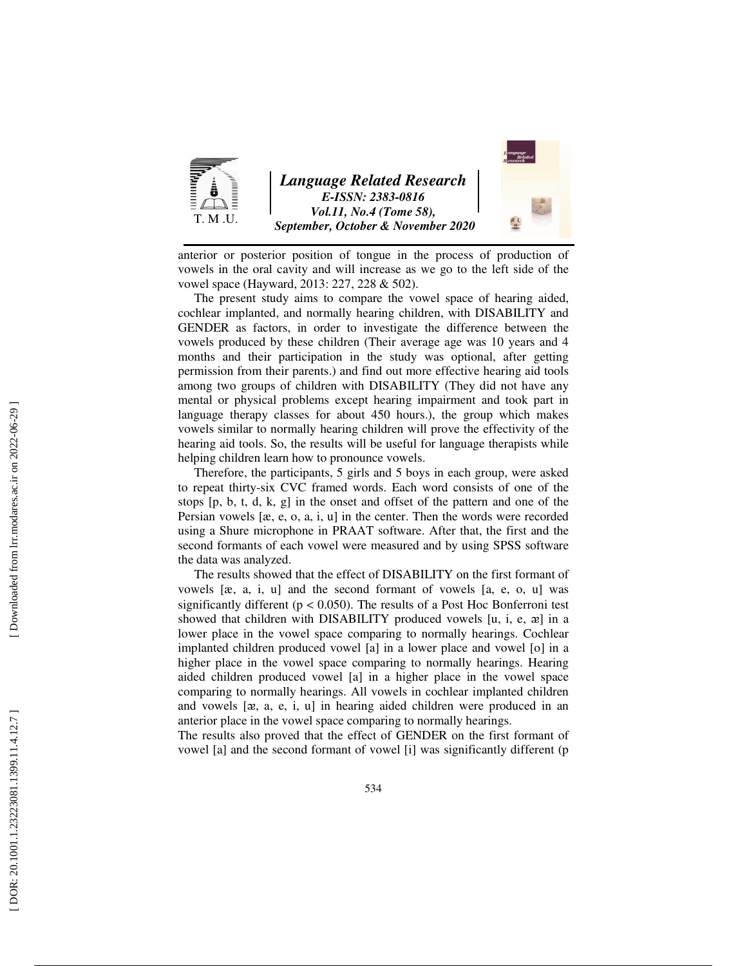

anterior or posterior position of tongue in the process of production of vowels in the oral cavity and will increase as we go to the left side of the vowel space (Hayward, 2013: 227, 228 & 502).

The present study aims to compare the vowel space of hearing aided, cochlear implanted, and normally hearing children, with DISABILITY and GENDER as factors, in order to investigate the difference between the vowels produced by these children (Their average age was 10 years and 4 months and their participation in the study was optional, after getting permission from their parents.) and find out more effective hearing aid tools among two groups of children with DISABILITY (They did not have any mental or physical problems except hearing impairment and took part in language therapy classes for about 450 hours.), the group which makes vowels similar to normally hearing children will prove the effectivity of the hearing aid tools. So, the results will be useful for language therapists while helping children learn how to pronounce vowels.

Therefore, the participants, 5 girls and 5 boys in each group, were asked to repeat thirty-six CVC framed words. Each word consists of one of the stops [p, b, t, d, k, g] in the onset and offset of the pattern and one of the Persian vowels [æ, e, o, a, i, u] in the center. Then the words were recorded using a Shure microphone in PRAAT software. After that, the first and the second formants of each vowel were measured and by using SPSS software the data was analyzed.

The results showed that the effect of DISABILITY on the first formant of vowels [æ, a, i, u] and the second formant of vowels [a, e, o, u] was significantly different ( $p < 0.050$ ). The results of a Post Hoc Bonferroni test showed that children with DISABILITY produced vowels [u, i, e, a] in a lower place in the vowel space comparing to normally hearings. Cochlear implanted children produced vowel [a] in a lower place and vowel [o] in a higher place in the vowel space comparing to normally hearings. Hearing aided children produced vowel [a] in a higher place in the vowel space comparing to normally hearings. All vowels in cochlear implanted children and vowels [ ᴂ, a, e, i, u] in hearing aided children were produced in an anterior place in the vowel space comparing to normally hearings.

The results also proved that the effect of GENDER on the first formant of vowel [a] and the second formant of vowel [i] was significantly different (p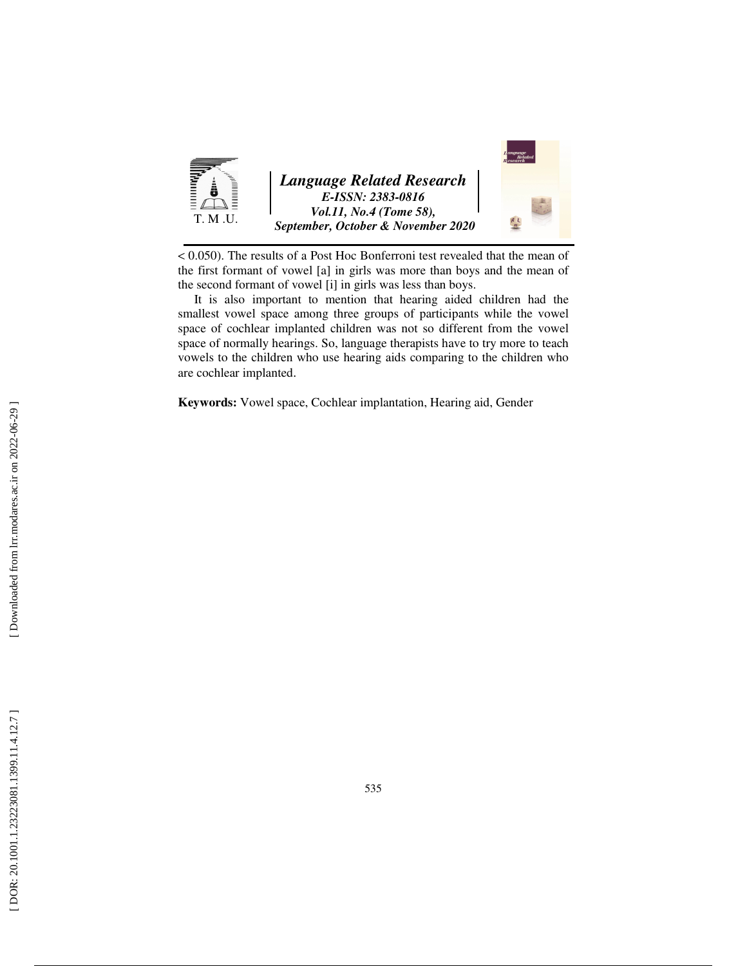

< 0.050). The results of a Post Hoc Bonferroni test revealed that the mean of the first formant of vowel [a] in girls was more than boys and the mean of the second formant of vowel [i] in girls was less than boys.

It is also important to mention that hearing aided children had the smallest vowel space among three groups of participants while the vowel space of cochlear implanted children was not so different from the vowel space of normally hearings. So, language therapists have to try more to teach vowels to the children who use hearing aids comparing to the children who are cochlear implanted.

**Keywords:** Vowel space, Cochlear implantation, Hearing aid, Gender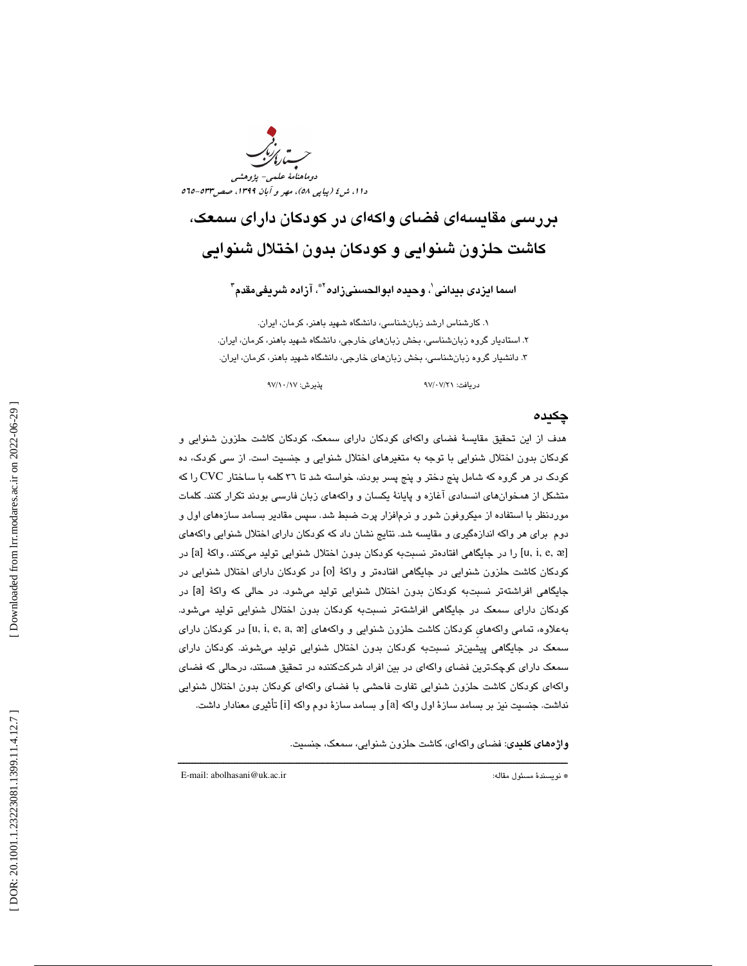

# بررسي مقايسهاي فضاي واكهاي در كودكان داراي سمعك، كاشت حلزون شنوايي و كودكان بدون اختلال شنوايي

اسما ايزدى بيدانى'، وحيده ابوالحسنىزاده"ٌ، آزاده شريفىمقدم"

. كارشناس ارشد زبانشناسي، دانشگاه شهيد باهنر، كرمان، ايران. 1 . استاديار گروه زبانشناسي، بخش زبانهاي خارجي، دانشگاه شهيد باهنر، كرمان، ايران. 2 . دانشيار گروه زبانشناسي، بخش زبانهاي خارجي، دانشگاه شهيد باهنر، كرمان، ايران. 3

دريافت: 21/ 07/ 97 پذيرش: 17/ 10/ 97

#### چكيده

هدف از اين تحقيق مقايسة فضاي واكهاي كودكان داراي سمعك، كودكان كاشت حلزون شنوايي و كودكان بدون اختلال شنوايي با توجه به متغيرهاي اختلال شنوايي و جنسيت است. از سي كودك، ده كودك در هر گروه كه شامل پنج دختر و پنج پسر بودند، خواسته شد تا 36 كلمه با ساختار CVC را كه متشكل از همخوانهاي انسدادي آغازه و پايانة يكسان و واكههاي زبان فارسي بودند تكرار كنند. كلمات موردنظر با استفاده از میكروفون شور و نرم|فزار پرت ضبط شد. سپس مقادیر بسامد سازههای اول و دوم براي هر واكه اندازهگيري و مقايسه شد. نتايج نشان داد كه كودكان داراي اختلال شنوايي واكههاي [u, i, e, æ] را در جايگاهي افتادهتر نسبتبه كودكان بدون اختلال شنوايي توليد ميكنند. واكهٔ [a] در كودكان كاشت حلزون شنوايي در جايگاهي افتادهتر و واكهٔ [o] در كودكان داراي اختلال شنوايي در جايگاهي افراشتهتر نسبتبه كودكان بدون اختلال شنوايي توليد ميشود. در حالي كه واكة [a [در كودكان داراي سمعك در جايگاهي افراشتهتر نسبتبه كودكان بدون اختلال شنوايي توليد ميشود. بهعلاوه، تمامی واكههای كودكان كاشت حلزون شنوایی و واكههای [u, i, e, a, æ] در كودكان دارای سمعك در جايگاهي پيشينتر نسبتبه كودكان بدون اختلال شنوايي توليد ميشوند. كودكان داراي سمعك داراي كوچكترين فضاي واكهاي در بين افراد شركتكننده در تحقيق هستند، درحالي كه فضاي ي كودكان كاشت حلزون شنوايي تفاوت فاحشي با فضاي واكهاي كودكان بدون اختلال شنوايي واكها نداشت. جنسيت نيز بر بسامد سازة اول واكه [a [و بسامد سازة دوم واكه [i [تأثيري معنادار داشت.

ــــــــــــــــــــــــــــــــــــــــــــــــــــــــــــــــــــــــــــــــــــــــــــــــــــــــــــــــــــــــــــــــــــــــــ

واژههاي كليدي: فضاي وا كهاي، كاشت حلزون شنوايي، سمعك، جنسيت.

E-mail: abolhasani@uk.ac.ir :مقاله مسئول نويسندة\*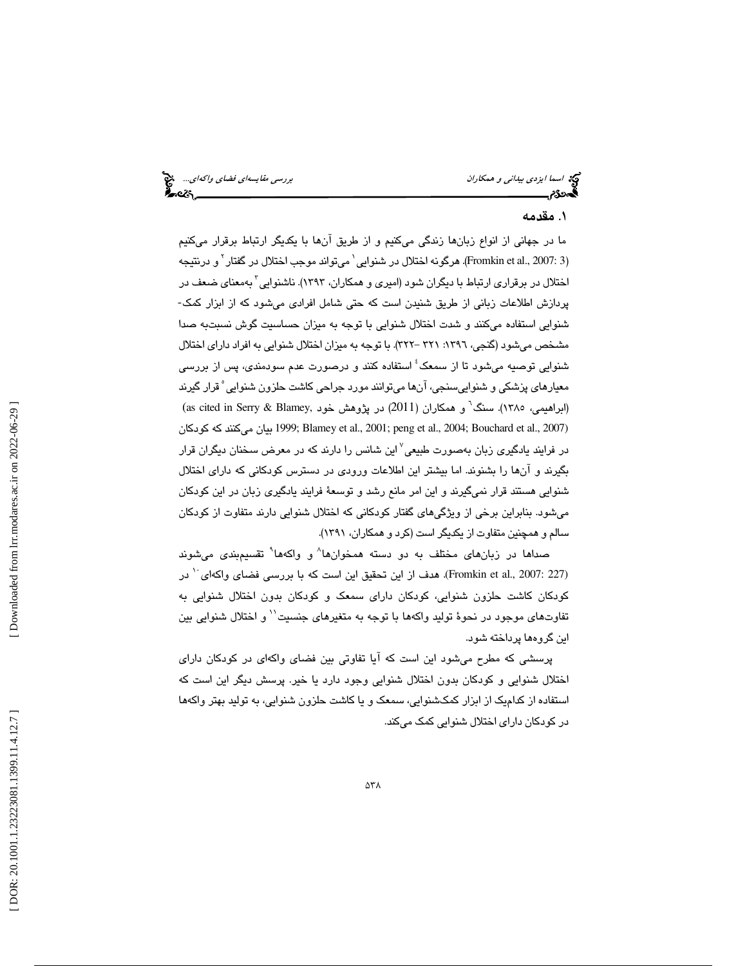## . مقدمه 1

ما در جهاني از انواع زبانها زندگي ميكنيم و از طريق آنها با يكديگر ارتباط برقرار ميكنيم (Fromkin et al., 2007: 3). هرگونه اختلال در شنوايي`ميتواند موجب اختلال در گفتار` و درنتيجه اختلال در برقراري ارتباط با ديگران شود (اميري و همكاران، 1393). ناشنوايي 3 به معناي ضعف در پردازش اطلاعات زباني از طريق شنيدن است كه حتي شامل افرادي ميشود كه از ابزار كمك- شنوايي استفاده ميكنند و شدت اختلال شنوايي با توجه به ميزان حساسيت گوش نسبتبه صدا مشخص ميشود (گنجي، :1396 321 - 322). با توجه به ميزان اختلال شنوايي به افراد داراي اختلال شنوايي توصيه ميشود تا از سمعک<sup>؛</sup> استفاده کنند و درصورت عدم سودمندی، پس از بررس*ی* معيارهاي پزشكي و شنواييسنجي، آنها ميتوانند مورد جراحي كاشت حلزون شنوايي 5 قرار گيرند (ابراهيمي، ١٣٨٥). سنگ<sup>٦</sup> و همكاران (2011) در پژوهش خود ,as cited in Serry & Blamey) كودكان كه ميكنند بيان 1999 ;Blamey et al., 2001; peng et al., 2004; Bouchard et al., 2007) در فرايند يادگيري زبان بهصورت طبيعي<sup>۷</sup> اين شانس را دارند كه در معرض سخنان ديگران قرار بگيرند و آنها را بشنوند. اما بيشتر اين اطلاعات ورودي در دسترس كودكاني كه داراي اختلال شنوايي هستند قرار نميگيرند و اين امر مانع رشد و توسعة فرايند يادگيري زبان در اين كودكان ميشود. بنابراين برخي از ويژگيهاي گفتار كودكاني كه اختلال شنوايي دارند متفاوت از كودكان سالم و همچنين متفاوت از يكديگر است (كرد و همكاران، 1391 ).

صدا*ه*ا در زبان*های* مختلف به دو دسته همخوانها<sup>۸</sup> و واکهها<sup>۹</sup> تقسیمٖبندی میشوند (Fromkin et al., 2007: 227). هدف از اين تحقيق اين است كه با بررسي فضاي واكهاي<sup>١٠</sup> در كودكان كاشت حلزون شنوايي، كودكان داراي سمعك و كودكان بدون اختلال شنوايي به تفاوتهاي موجود در نحوهٔ توليد واكهها با توجه به متغيرهاي جنسيت`` و اختلال شنوايي بين اين گروهها پرداخته شود.

پرسشي كه مطرح ميشود اين است كه آيا تفاوتي بين فضاي واكهاي در كودكان داراي اختلال شنوايي و كودكان بدون اختلال شنوايي وجود دارد يا خير. پرسش ديگر اين است كه استفاده از كداميك از ابزار كمكشنوايي، سمعك و يا كاشت حلزون شنوايي، به توليد بهتر واكهها در كودكان داراي اختلال شنوايي كمك ميكند.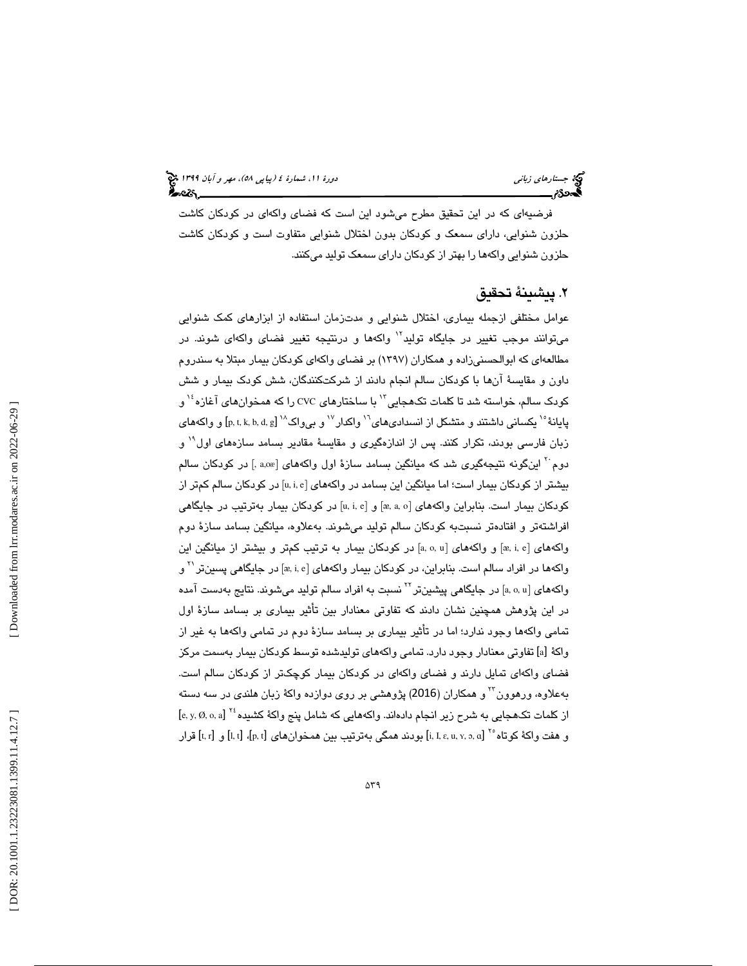فرضيهاي كه در اين تحقيق مطرح ميشود اين است كه فضاي واكهاي در كودكان كاشت حلزون شنوايي، داراي سمعك و كودكان بدون اختلال شنوايي متفاوت است و كودكان كاشت حلزون شنوايي واكهها را بهتر از كودكان داراي سمعك توليد ميكنند.

## . پيشينة تحقيق 2

عوامل مختلفي ازجمله بيماري، اختلال شنوايي و مدتزمان استفاده از ابزارهاي كمك شنوايي میتوانند موجب تغییر در جایگاه تولید<sup>۱۲</sup> واکهها و درنتیجه تغییر فضای واکهای شوند. در مطالعهاي كه ابوالحسنيزاده و همكاران (1397 ) بر فضاي واكهاي كودكان بيمار مبتلا به سندروم داون و مقايسة آنها با كودكان سالم انجام دادند از شركتكنندگان، شش كودك بيمار و شش کودک سالم، خواسته شد تا کلمات تکـهجايی ّ' با سـاختارهای cvc را که همـخوان های آغازه $^{\backprime\prime}$  و پایانهٔ `` یکسانی داشتند و متشکل از انسدادیهای<sup>۱٬</sup> واکدار `` و بیواک `` [p, t, k, b, d, g] و واکههای زبان فارسی بودند، تکرار کنند. پس از اندازهگیری و مقایسهٔ مقادیر بسامد سازههای اول<sup>۱۹</sup> و دوم با اينگونه نتيجهگيري شد كه ميانگين بسامد سازهٔ اول واكههاي [a,oæ] در كودكان سالم بیشتر از کودکان بیمار است؛ اما میانگین این بسامد در واکههای [u, i, e] در کودکان سالم کمتر از كودكان بيمار است. بنابراين واكههاي [æ, a, o] و [u, i, e] در كودكان بيمار بهترتيب در جايگاهي افراشتهتر و افتادهتر نسبتبه كودكان سالم توليد ميشوند. بهعلاوه، ميانگين بسامد سازة دوم واكههای [æ, i, e] و واكههای [a, o, u] در كودكان بیمار به ترتیب كمتر و بیشتر از میانگین این واکهها در افراد سالم است. بنابراین، در کودکان بیمار واکههای [æ, i, e] در جایگاهی پسین<code>تر</code>  $^\prime$  ه واكههای [a, o, u] در جایگاهی پیشینتر<sup>۲۲</sup> نسبت به افراد سالم تولید میشوند. نتایج بهدست آمده در اين پژوهش همچنين نشان دادند كه تفاوتي معنادار بين تأثير بيماري بر بسامد سازة اول تمامي واكهها وجود ندارد؛ اما در تأثير بيماري بر بسامد سازة دوم در تمامي واكهها به غير از واكهٔ [a] تفاوتی معنادار وجود دارد. تمامی واكههای تولیدشده توسط كودكان بیمار بهسمت مركز فضاي واكهاي تمايل دارند و فضاي واكهاي در كودكان بيمار كوچكتر از كودكان سالم است. بهعلاوه، ورهوون و همكاران (2016) پژوهشي بر روي دوازده واكة زبان هلندي در سه دسته <sup>23</sup> از كلمات تكـهـجايي به شرح زير انجام دادهاند. واكههايي كه شامل پنج واكهٔ كشيده ٔ ٌ [e, y, Ø, o, a] و هفت واكة كوتاه °' l, I, ɛ, u, ʏ, ɔ, ɑ] بودند همگي بهترتيب بين همخوانهاي [l, t] ،[t, t] قرار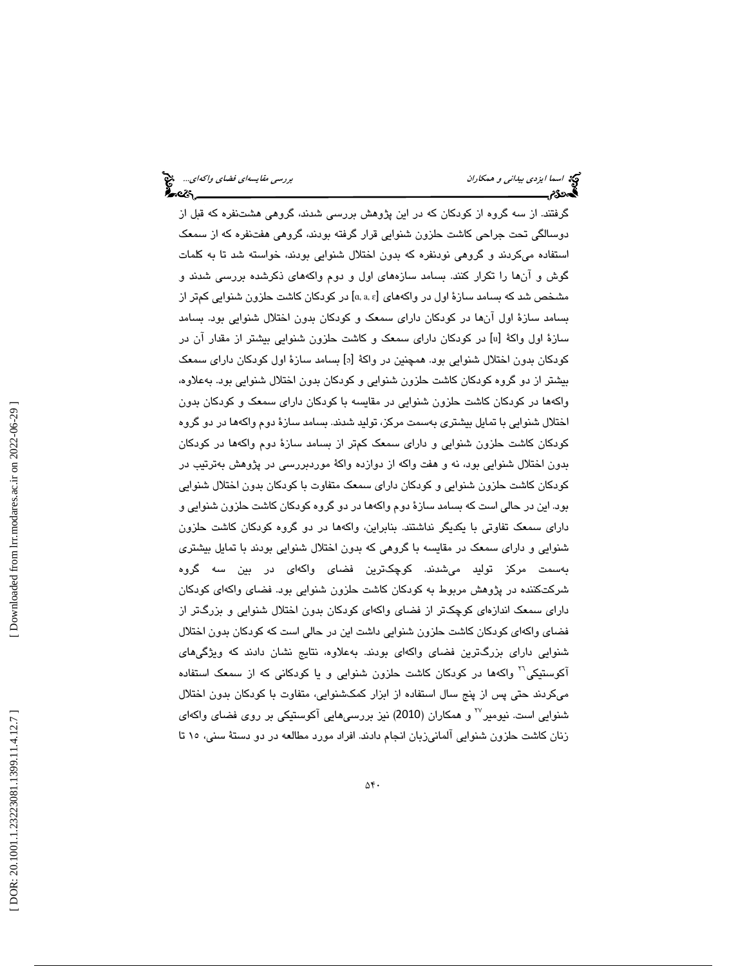گرفتند. از سه گروه از كودكان كه در اين پژوهش بررسي شدند، گروهي هشتنفره كه قبل از دوسالگي تحت جراحي كاشت حلزون شنوايي قرار گرفته بودند، گروهي هفتنفره كه از سمعك استفاده ميكردند و گروهي نودنفره كه بدون اختلال شنوايي بودند، خواسته شد تا به كلمات گوش و آنها را تكرار كنند. بسامد سازههاي اول و دوم واكههاي ذكرشده بررسي شدند و مشخص شد كه بسامد سازهٔ اول در واكههای [a, a, ɛ] در كودكان كاشت حلزون شنوایی كمتر از بسامد سازة اول آنها در كودكان داراي سمعك و كودكان بدون اختلال شنوايي بود. بسامد سازهٔ اول واکهٔ [u] در کودکان دارای سمعک و کاشت حلزون شنوایی بیشتر از مقدار آن در كودكان بدون اختلال شنوايي بود. همچنين در واكهٔ [ه] بسامد سازهٔ اول كودكان داراي سمعک بيشتر از دو گروه كودكان كاشت حلزون شنوايي و كودكان بدون اختلال شنوايي بود. بهعلاوه، ها واكه در كودكان كاشت حلزون شنوايي در مقايسه با كودكان داراي سمعك و كودكان بدون اختلال شنوايي با تمايل بيشتري بهسمت مركز، توليد شدند. بسامد سازة دوم واكهها در دو گروه كودكان كاشت حلزون شنوايي و داراي سمعك كمتر از بسامد سازة دوم واكهها در كودكان بدون اختلال شنوايي بود، نه و هفت واكه از دوازده واكة موردبررسي در پژوهش بهترتيب در كودكان كاشت حلزون شنوايي و كودكان داراي سمعك متفاوت با كودكان بدون اختلال شنوايي بود. اين در حالي است كه بسامد سازة دوم واكهها در دو گروه كودكان كاشت حلزون شنوايي و داراي سمعك تفاوتي با يكديگر نداشتند. بنابراين، واكهها در دو گروه كودكان كاشت حلزون شنوايي و داراي سمعك در مقايسه با گروهي كه بدون اختلال شنوايي بودند با تمايل بيشتري بهسمت مركز توليد ميشدند. كوچكترين فضاي واكهاي در بين سه گروه شركتكننده در پژوهش مربوط به كودكان كاشت حلزون شنوايي بود. فضاي واكهاي كودكان داراي سمعك اندازهاي كوچكتر از فضاي واكهاي كودكان بدون اختلال شنوايي و بزرگتر از فضاي واكهاي كودكان كاشت حلزون شنوايي داشت اين در حالي است كه كودكان بدون اختلال شنوايي داراي بزرگترين فضاي واكهاي بودند. بهعلاوه، نتايج نشان دادند كه ويژگيهاي آكوستيكي™ واكهها در كودكان كاشت حلزون شنوايي و يا كودكاني كه از سمعک استفاده ميكردند حتي پس از پنج سال استفاده از ابزار كمكشنوايي، متفاوت با كودكان بدون اختلال شنوايي است. نيومير<sup>77</sup> و همكاران (2010) نيز بررسي@ايي آكوستيكي بر روي فضاي واكهاي زنان كاشت حلزون شنوايي آلماني زبان انجام دادند. افراد مورد مطالعه در دو دستة سني، تا 15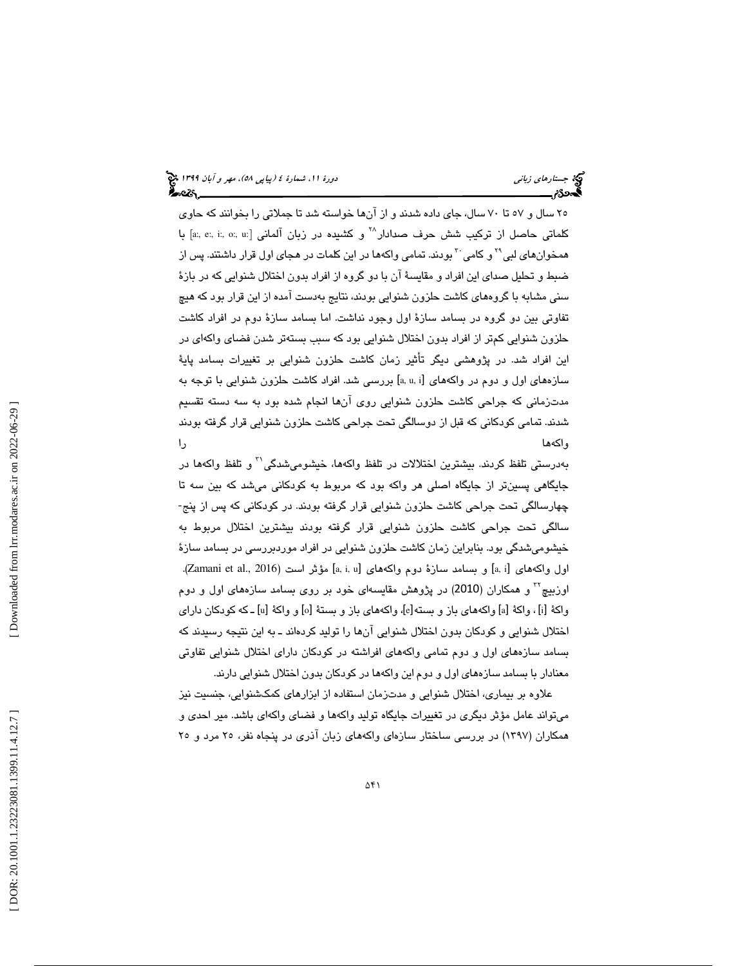25 سال و 57 تا 70 سال، جاي داده شدند و از آنها خواسته شد تا جملاتي را بخوانند كه حاوي كلماتي حاصل از تركيب شش حرف صدادار $^{\wedge\wedge}$  و كشيده در زبان آلماني [a:, e:, i:, o:, u:] با همخوانهای لبی<sup>۲</sup>۰ و کامی <sup>۲۰</sup> بودند. تمامی واکهها در این کلمات در هجای اول قرار داشتند. پس از ضبط و تحليل صداي اين افراد و مقايسة آن با دو گروه از افراد بدون اختلال شنوايي كه در بازة سني مشابه با گروههاي كاشت حلزون شنوايي بودند، نتايج بهدست آمده از اين قرار بود كه هيچ تفاوتي بين دو گروه در بسامد سازة اول وجود نداشت. اما بسامد سازة دوم در افراد كاشت حلزون شنوايي كمتر از افراد بدون اختلال شنوايي بود كه سبب بستهتر شدن فضاي واكهاي در اين افراد شد. در پژوهشي ديگر تأثير زمان كاشت حلزون شنوايي بر تغييرات بسامد پاية سازههای اول و دوم در واكههای [a, u, i] بررسی شد. افراد كاشت حلزون شنوایی با توجه به مدتزماني كه جراحي كاشت حلزون شنوايي روي آنها انجام شده بود به سه دسته تقسيم شدند. تمامي كودكاني كه قبل از دوسالگي تحت جراحي كاشت حلزون شنوايي قرار گرفته بودند واكهها را

بهدرستی تلفظ کردند. بیشترین اختلالات در تلفظ واکهها، خیشومیشدگی<sup>۲۱</sup> و تلفظ واکهها در جايگاهي پسينتر از جايگاه اصلي هر واكه بود كه مربوط به كودكاني ميشد كه بين سه تا چهارسالگي تحت جراحي كاشت حلزون شنوايي قرار گرفته بودند. در كودكاني كه پس از پنج- سالگي تحت جراحي كاشت حلزون شنوايي قرار گرفته بودند بيشترين اختلال مربوط به خيشوميشدگي بود. بنابراين زمان كاشت حلزون شنوايي در افراد موردبررسي در بسامد سازة اول واكههاي [a, i] و بسامد سازهٔ دوم واكههاي [a, i, u] مؤثر است (Zamani et al., 2016). اوزبيچ<sup>۲۲</sup> و همكاران (2010) در پژوهش مقايسهاي خود بر روي بسامد سازههاي اول و دوم واكةُ [i] ، واكةُ [a] واكههاي باز و بسته[e]، واكههاي باز و بستةُ [o] و واكةُ [u] ـ كه كودكان داراي اختلال شنوايي و كودكان بدون اختلال شنوايي آنها را توليد كردهاند ـ به اين نتيجه رسيدند كه بسامد سازههاي اول و دوم تمامي واكههاي افراشته در كودكان داراي اختلال شنوايي تفاوتي معنادار با بسامد سازههاي اول و دوم اين واكهها در كودكان بدون اختلال شنوايي دارند.

علاوه بر بيماري، اختلال شنوايي و مدتزمان استفاده از ابزارهاي كمكشنوايي، جنسيت نيز ميتواند عامل مؤثر ديگري در تغييرات جايگاه توليد واكهها و فضاي واكهاي باشد. مير احدي و همكاران (١٣٩٧) در بررسي ساختار سازهاي واكههاي زبان آذري در پنجاه نفر، ٢٥ مرد و ٢٥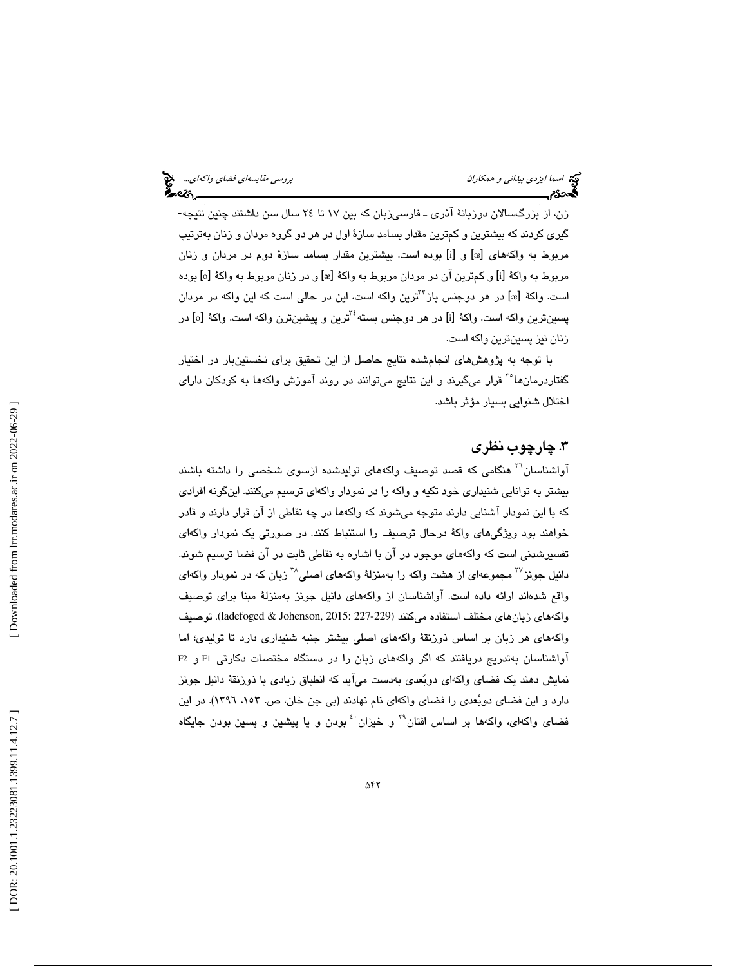زن، از بزرگسالان دوزبانة آذري ـ فارسيزبان كه بين 17 تا 24 سال سن داشتند چنين نتيجه- گيري كردند كه بيشترين و كمترين مقدار بسامد سازة اول در هر دو گروه مردان و زنان بهترتيب مربوط به واكههاى [æ] و [i] بوده است. بيشترين مقدار بسامد سازهٔ دوم در مردان و زنان مربوط به واكة [i] و كمترين آن در مردان مربوط به واكة [æ] و در زنان مربوط به واكة [o] بوده است. واكهٔ [æ] در هر دوجنس باز<sup>۳۲</sup>ترین واكه است، این در حالی است كه این واكه در مردان پسينترين واكه است. واكهٔ [i] در هر دوجنس بسته $^{\text{Y}^{\text{t}}}$ رين و پيشينترن واكه است. واكهٔ [o] در زنان نيز پسينترين واكه است.

با توجه به پژوهشهاي انجامشده نتايج حاصل از اين تحقيق براي نخستينبار در اختيار گفتاردرمانها°<sup>۳</sup> قرار میگیرند و این نتایج میتوانند در روند آموزش واكهها به كودكان دارای اختلال شنوايي بسيار مؤثر باشد .

## .3 چارچوب نظري

آواشناسان<sup>۲۰</sup> هنگامي كه قصد توصيف واكههاي توليدشده ازسوي شخصي را داشته باشند بيشتر به توانايي شنيداري خود تكيه و واكه را در نمودار واكهاي ترسيم ميكنند. اينگونه افرادي كه با اين نمودار آشنايي دارند متوجه ميشوند كه واكهها در چه نقاطي از آن قرار دارند و قادر خواهند بود ويژگيهاي واكة درحال توصيف را استنباط كنند. در صورتي يك نمودار واكهاي تفسيرشدني است كه واكههاي موجود در آن با اشاره به نقاطي ثابت در آن فضا ترسيم شوند. دانیل جونز<sup>۲۷</sup> مجموعهای از هشت واكه را بهمنزلهٔ واكههای اصلی<sup>۳۸</sup> زبان كه در نمودار واكهای واقع شدهاند ارائه داده است. آواشناسان از واكههاي دانيل جونز بهمنزلة مبنا براي توصيف واكههاي زبانهاي مختلف استفاده ميكنند (229-227 :1adefoged & Johenson, 2015). توصيف واكههاي هر زبان بر اساس ذوزنقة واكههاي اصلي بيشتر جنبه شنيداري دارد تا توليدي؛ اما آواشناسان بهتدريج دريافتند كه اگر واكههاي زبان را در دستگاه مختصات دكارتي 1F و 2F نمايش دهند يك فضاي واكهاي دوبعدي بهدست ميآيد كه انطباق زيادي با ذوزنقة دانيل جونز دارد و اين فضاي دوبُعدي را فضاي واكهاي نام نهادند (بي جن خان، ص. ١٥٣، ١٣٩٦). در اين فضای واکهای، واکهها بر اساس افتان" و خیزان ٔ بودن و یا پیشین و پسین بودن جایگاه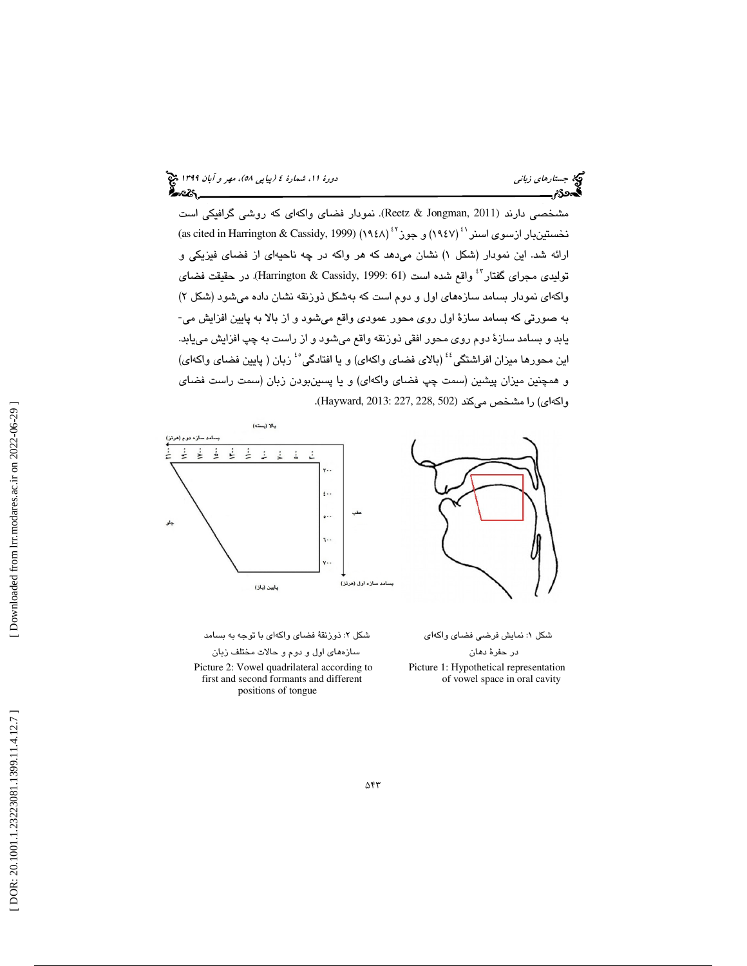(پياپي 58)، مهر و آبان 1399 جستارهاي زباني دورة ،11 شمارة 4

مشخصی دارند (Reetz & Jongman, 2011). نمودار فضای واکهای که روشی گرافیکی است نخستينبار ازسوی اسنر <sup>٤ (</sup> ١٩٤٧) و جوز <sup>٤٢</sup> (١٩٤٨) (as cited in Harrington & Cassidy, 1999) ارائه شد. اين نمودار (شكل ۱) نشان مىدهد كه هر واكه در چه ناحيهاى از فضاى فيزيكى و توليدي مجراي گفتار<sup>51</sup> واقع شده است (61 :Harrington & Cassidy, 1999). در حقيقت فضاي واكهاي نمودار بسامد سازههاي اول و دوم است كه بهشكل ذوزنقه نشان داده ميشود (شكل ) 2 به صورتي كه بسامد سازة اول روي محور عمودي واقع ميشود و از بالا به پايين افزايش مي- يابد و بسامد سازة دوم روي محور افقي ذوزنقه واقع ميشود و از راست به چپ افزايش مييابد. اين محورها ميزان افراشنگي<sup>؛</sup>' (بالاي فضاي واكهاي) و يا افتادگي<sup>ء</sup>ُ زبان ( پايين فضاي واكهاي) و همچنين ميزان پيشين (سمت چپ فضای واكهای) و يا پسينبودن زبان (سمت راست فضای<br>واكهای) را مشخص ميكند (502 ,Hayward, 2013: 227, 228, 502).



: ذوزنقة فضاي واكهاي با توجه به بسامد در حفرة دهان سازههاي اول و دوم و حالات مختلف زبان Picture 2: Vowel quadrilateral according to Picture 1: Hypothetical representation first and second formants and different of vowel space in oral cavity positions of tongue

: نمايش فرضي فضاي واكهاي شكل 2 شكل 1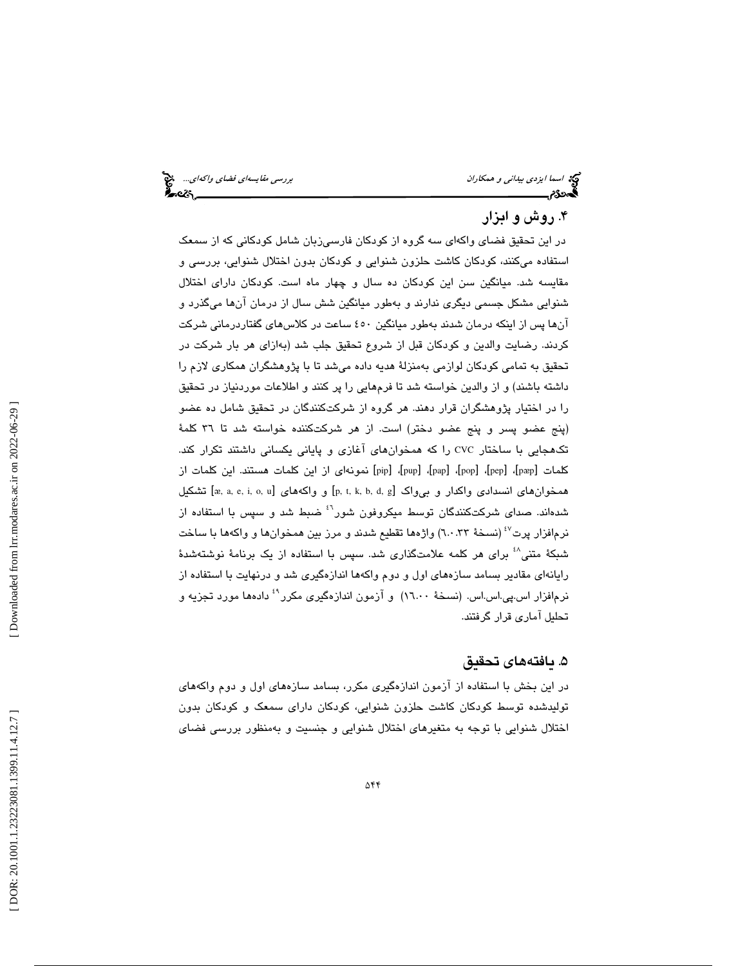## . روش و ابزار 4

در اين تحقيق فضاي واكهاي سه گروه از كودكان فارسيزبان شامل كودكاني كه از سمعك استفاده ميكنند، كودكان كاشت حلزون شنوايي و كودكان بدون اختلال شنوايي، بررسي و مقايسه شد. ميانگين سن اين كودكان ده سال و چهار ماه است. كودكان داراي اختلال شنوايي مشكل جسمي ديگري ندارند و بهطور ميانگين شش سال از درمان آنها ميگذرد و آنها پس از اينكه درمان شدند بهطور ميانگين 450 ساعت در كلاسهاي گفتاردرماني شركت كردند. رضايت والدين و كودكان قبل از شروع تحقيق جلب شد (بهازاي هر بار شركت در تحقيق به تمامي كودكان لوازمي بهمنزلة هديه داده ميشد تا با پژوهشگران همكاري لازم را داشته باشند) و از والدين خواسته شد تا فرمهايي را پر كنند و اطلاعات موردنياز در تحقيق را در اختيار پژوهشگران قرار دهند. هر گروه از شركتكنندگان در تحقيق شامل ده عضو (پنج عضو پسر و پنج عضو دختر) است. از هر شركتكننده خواسته شد تا 36 كلمة تكهجايي با ساختار CVC را كه همخوانهاي آغازي و پاياني يكساني داشتند تكرار كند. كلمات [pæp]، [pop]، [pup]، [pup]، [pup] [pip] نمونهاى از اين كلمات هستند. اين كلمات از قشكيل [æ, a, e, i, o, u] و واكه همخوانهاي [p, t, k, b, d, g] و [æ, a, e, i, o, u] تشكيل شدهاند. صداي شركتكنندگان توسط ميكروفون شور ضبط شد و سپس با استفاده از <sup>46</sup> نرمافزار پرت $^{^\vee\!}$  (نسخهٔ ٦.٠.٣) واژهها تقطیع شدند و مرز بین همخوانها و واکهها با ساخت شبكهٔ متنی<sup>1</sup>۰ برای هر كلمه علامتگذاری شد. سپس با استفاده از یک برنامهٔ نوشتهشدهٔ رايانهاي مقادير بسامد سازههاي اول و دوم واكهها اندازهگيري شد و درنهايت با استفاده از نرمافزار اس.پي.اس.اس. (نسخهٔ ۱٦.۰۰) و آزمون اندازهگيري مكرر<sup>۹</sup> دادهها مورد تجزيه و تحليل آماري قرار گرفتند.

## . يافتههاي تحقيق 5

در اين بخش با استفاده از آزمون اندازهگيري مكرر، بسامد سازههاي اول و دوم واكههاي توليدشده توسط كودكان كاشت حلزون شنوايي، كودكان داراي سمعك و كودكان بدون اختلال شنوايي با توجه به متغيرهاي اختلال شنوايي و جنسيت و بهمنظور بررسي فضاي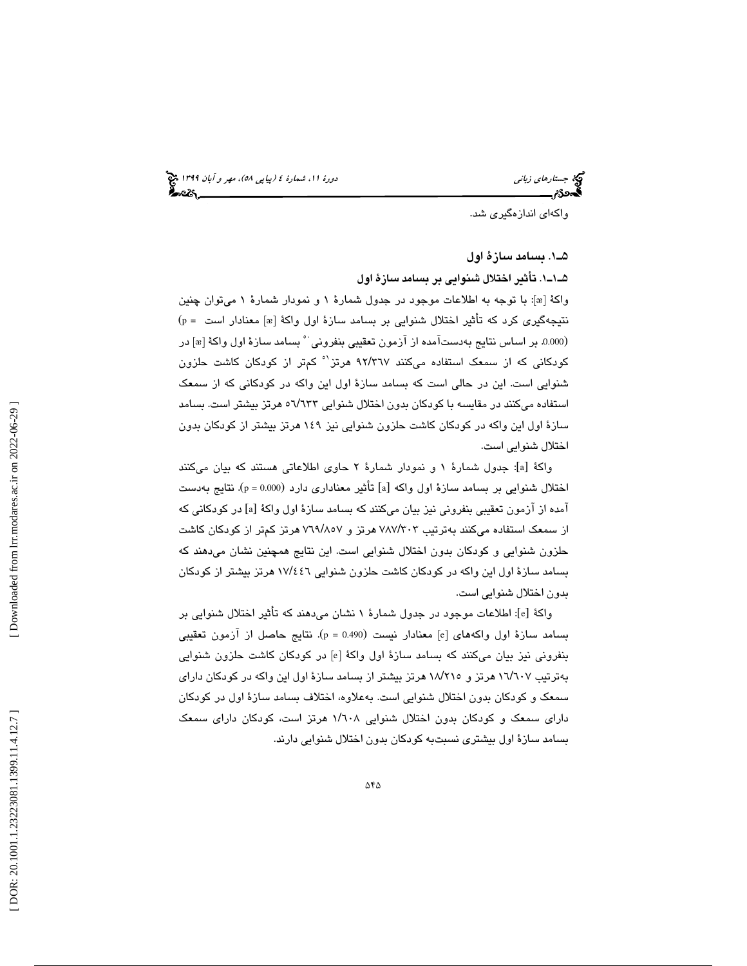(پياپي 58)، مهر و آبان 1399 جستارهاي زباني دورة ،11 شمارة 4

واكهاي اندازهگيري شد.

1ـ5 . بسامد سازة اول

1ـ1ـ5 . تأثير اختلال شنوايي بر بسامد سازة اول

واكهٔ [æ]: با توجه به اطلاعات موجود در جدول شمارهٔ ۱ و نمودار شمارهٔ ۱ میتوان چنین نتيجهگيرى كرد كه تأثير اختلال شنوايى بر بسامد سازهٔ اول واكهٔ [æ] معنادار است = p) (0.000. بر اساس نتايج بهدستآمده از آزمون تعقيبي بنفروني ` ْ بسامد سازهٔ اول واكهٔ [&] در كودكانی كه از سمعک استفاده میکنند ۹۲/۳٦۷ هرتز<sup>۹</sup> کم¤ر از کودکان کاشت حلزون شنوايي است. اين در حالي است كه بسامد ساز ة اول اين واكه در كودكاني كه از سمعك استفاده میکنند در مقایسه با کودکان بدون اختلال شنوایی ۲۳۳/۱۳ه هرتز بیشتر است. بسامد ساز ة اول اين واكه در كودكان كاشت حلزون شنوايي نيز 149 هرتز بيشتر از كودكان بدون اختلال شنوايي است.

: جدول شمارة 1 و نمودار شمارة 2 حاوي اطلاعاتي هستند كه بيان ميكنند [ a واكة [ اختلال شنوايي بر بسامد سازهٔ اول واکه [a] تأثير معناداری دارد (p = 0.000). نتايج بهدست . آمده از آزمون تعقیبی بنفرونی نیز بیان میکنند که بسامد سازهٔ اول واکهٔ [a] در کودکانی که از سمعک استفاده میکنند بهترتیب ۷۸۷/۳۰۳ هرتز و ۷٦٩/٨٥٧ هرتز کمتر از کودکان کاشت حلزون شنوايي و كودكان بدون اختلال شنوايي است. اين نتايج همچنين نشان ميدهند كه بسامد سازهٔ اول این واکه در کودکان کاشت حلزون شنوایی ۱۷/٤٤٦ هرتز بیشتر از کودکان بدون اختلال شنوايي است.

: اطلاعات موجود در جدول شمارة 1 نشان ميدهند كه تأثير اختلال شنوايي بر [ e واكة [ بسامد سازهٔ اول واکههای [e] معنادار نیست (p = 0.490). نتایج حاصل از آزمون تعقیبی بنفروني نيز بيان ميكنند كه بسامد سازهٔ اول واكهٔ [e] در كودكان كاشت حلزون شنوايي بهترتيب ١٦/٦٠٧ هرتز و ١٨/٢١٥ هرتز بيشتر از بسامد سازهٔ اول اين واكه در كودكان داراي سمعك و كودكان بدون اختلال شنوايي است. به علاوه، اختلاف بسامد سازة اول در كودكان دارای سمعک و کودکان بدون اختلال شنوایی ۱/٦۰۸ هرتز است، کودکان دارای سمعک بسامد سازة اول بيشتري نسبتبه كودكان بدون اختلال شنوايي دارند.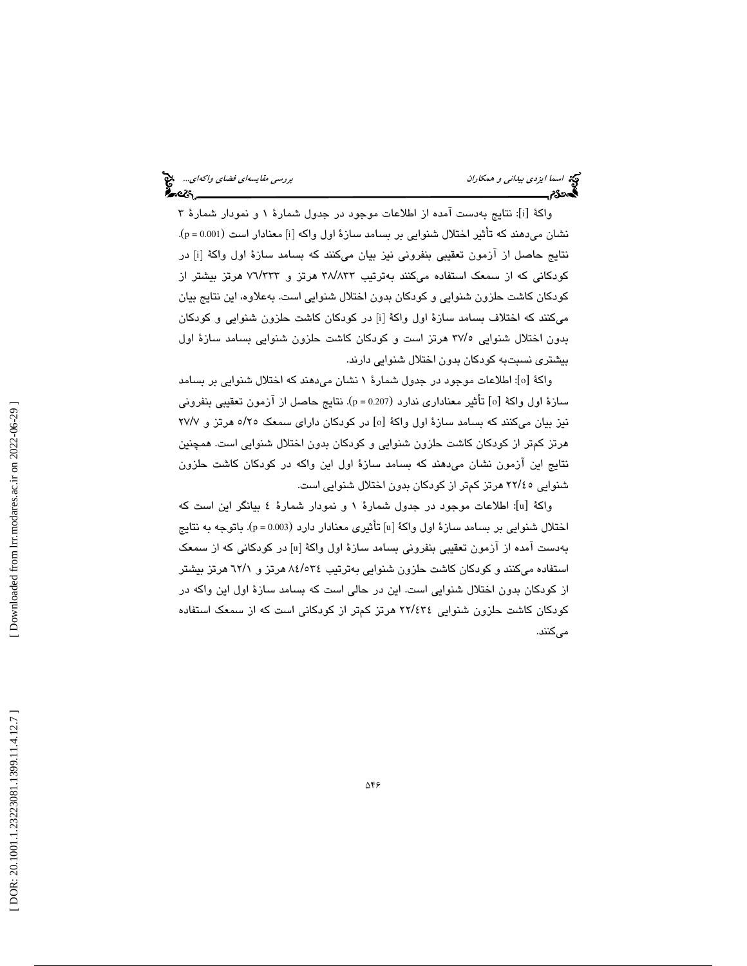واكة [i]: نتايج بهدست آمده از اطلاعات موجود در جدول شمارهٔ ۱ و نمودار شمارهٔ ۳ نشان ميدهند كه تأثير اختلال شنوايي بر بسامد سازهٔ اول واكه [i] معنادار است (p = 0.001). نتايج حاصل از ازمون تعقيبي بنفروني نيز بيان ميكنند كه بسامد سازهٔ اول واكهٔ [i] در کودکانی که از سمعک استفاده میکنند بهترتیب ۳۸/۸۳۳ هرتز S ۷٦/۲۳۳ هرتز بیشتر از كودكان كاشت حلزون شنوايي و كودكان بدون اختلال شنوايي است. بهعلاوه، اين نتايج بيان میكنند كه اختلاف بسامد سازهٔ اول واكهٔ [i] در كودكان كاشت حلزون شنوایی و كودكان بدون اختلال شنوایی ۳۷/۰ هرتز است و کودکان کاشت حلزون شنوایی بسامد سازهٔ اول بيشتري نسبتبه كودكان بدون اختلال شنوايي دارند.

واکهٔ [٥]: اطلاعات موجود در جدول شمارهٔ ۱ نشان میدهند که اختلال شنوایی بر بسامد سازهٔ اول واكهٔ [o] تأثير معناداري ندارد (p = 0.207). نتايج حاصل از آزمون تعقيبي بنفروني نيز بيان ميكنند كه بسامد سازهٔ اول واكهٔ [٥] در كودكان داراي سمعک ٥/٢٥ هرتز و ٢٧/٧ هرتز كمتر از كودكان كاشت حلزون شنوايي و كودكان بدون اختلال شنوايي است. همچنين نتايج اين آزمون نشان ميدهند كه بسامد سازة اول اين واكه در كودكان كاشت حلزون شنوایی ۲۲/٤٥ هرتز کمتر از کودکان بدون اختلال شنوایی است.

: اطلاعات موجود در جدول شمارة 1 و نمودار شمارة 4 بيانگر اين است كه [ u واكة [ اختلال شنوایی بر بسامد سازهٔ اول واکهٔ [u] تأثیری معنادار دارد (p = 0.003). باتوجه به نتایج بهدست امده از ازمون تعقیبی بنفرونی بسامد سازهٔ اول واکهٔ [u] در کودکانی که از سمعک استفاده میکنند و کودکان کاشت حلزون شنوایی بهترتیب ۸٤/٥٣٤ هرتز به ٦٢/١ هرتز بیشتر از كودكان بدون اختلال شنوايي است. اين در حالي است كه بسامد سازة اول اين واكه در كودكان كاشت حلزون شنوايي ٢٢/٤٣٤ هرتز كمتر از كودكانى است كه از سمعك استفاده مے كنند.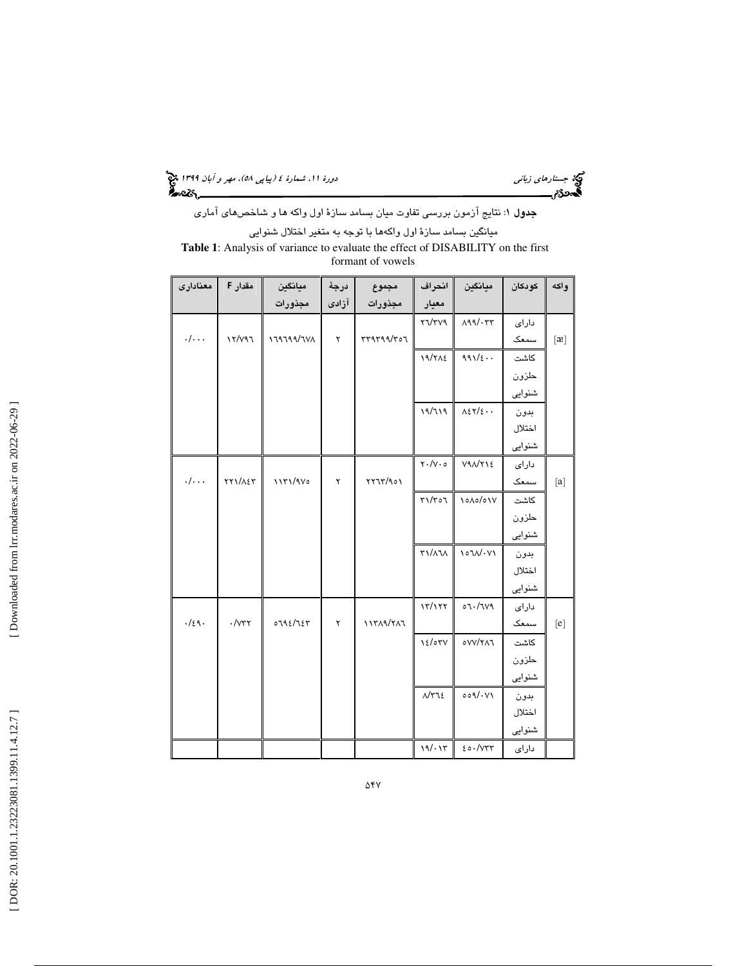(پياپي 58)، مهر و آبان 1399 جستارهاي زباني دورة ،11 شمارة 4

**جدول** ۱: نتايج آزمون بررسي تفاوت ميان بسامد سازهٔ اول واكه ها و شاخصهاي آماري ميانگين بسامد سازة اول واكهها با توجه به متغير اختلال شنوايي **Table 1**: Analysis of variance to evaluate the effect of DISABILITY on the first formant of vowels

| معنادارى                 | مقدار F             | ميانگين   | درجة  | مجموع      | انتراف                                           | ميانگين                         | كودكان | واكه                                                                                                                                                                                                                                                                                                                                                                                                                                                                                                                                                                        |
|--------------------------|---------------------|-----------|-------|------------|--------------------------------------------------|---------------------------------|--------|-----------------------------------------------------------------------------------------------------------------------------------------------------------------------------------------------------------------------------------------------------------------------------------------------------------------------------------------------------------------------------------------------------------------------------------------------------------------------------------------------------------------------------------------------------------------------------|
|                          |                     | مجذورات   | آزادی | مجذورات    | معيار                                            |                                 |        |                                                                                                                                                                                                                                                                                                                                                                                                                                                                                                                                                                             |
|                          |                     |           |       |            | YVYV9                                            | $\Lambda$ 99/. $\tau\tau$       | دارای  |                                                                                                                                                                                                                                                                                                                                                                                                                                                                                                                                                                             |
| . /                      | $Y/Y$ ۹٦            | 179799/7V | ۲     | rr9799/r07 |                                                  |                                 | سمعک   | $[\mathfrak{B}]$                                                                                                                                                                                                                                                                                                                                                                                                                                                                                                                                                            |
|                          |                     |           |       |            | 19/712                                           | $991/\epsilon$ .                | كاشت   |                                                                                                                                                                                                                                                                                                                                                                                                                                                                                                                                                                             |
|                          |                     |           |       |            |                                                  |                                 | حلزون  |                                                                                                                                                                                                                                                                                                                                                                                                                                                                                                                                                                             |
|                          |                     |           |       |            |                                                  |                                 | شنوایی |                                                                                                                                                                                                                                                                                                                                                                                                                                                                                                                                                                             |
|                          |                     |           |       |            | 19/719                                           | $A\epsilon\tau/\epsilon\cdots$  | بدون   |                                                                                                                                                                                                                                                                                                                                                                                                                                                                                                                                                                             |
|                          |                     |           |       |            |                                                  |                                 | اختلال |                                                                                                                                                                                                                                                                                                                                                                                                                                                                                                                                                                             |
|                          |                     |           |       |            |                                                  |                                 | شنوایی |                                                                                                                                                                                                                                                                                                                                                                                                                                                                                                                                                                             |
|                          |                     |           |       |            | $\mathbf{Y} \cdot / \mathbf{V} \cdot \mathbf{0}$ | V9N/YSE                         | دارای  |                                                                                                                                                                                                                                                                                                                                                                                                                                                                                                                                                                             |
| . /                      | ٢٢١/٨٤٣             | 11٣١/٩٧٥  | ۲     | YY1Y/901   |                                                  |                                 | سمعک   | [a]                                                                                                                                                                                                                                                                                                                                                                                                                                                                                                                                                                         |
|                          |                     |           |       |            | $\Gamma$ ٥٦/٢١                                   | $\lambda_0/\lambda_0/\lambda_1$ | كاشت   |                                                                                                                                                                                                                                                                                                                                                                                                                                                                                                                                                                             |
|                          |                     |           |       |            |                                                  |                                 | حلزون  |                                                                                                                                                                                                                                                                                                                                                                                                                                                                                                                                                                             |
|                          |                     |           |       |            |                                                  |                                 | شنوایی |                                                                                                                                                                                                                                                                                                                                                                                                                                                                                                                                                                             |
|                          |                     |           |       |            | <b>٣١/٨٦٨</b>                                    | $\sqrt{\cdot V}$                | بدون   |                                                                                                                                                                                                                                                                                                                                                                                                                                                                                                                                                                             |
|                          |                     |           |       |            |                                                  |                                 | اختلال |                                                                                                                                                                                                                                                                                                                                                                                                                                                                                                                                                                             |
|                          |                     |           |       |            |                                                  |                                 | شنوایی |                                                                                                                                                                                                                                                                                                                                                                                                                                                                                                                                                                             |
|                          |                     |           |       |            | $\frac{1}{\sqrt{2}}$                             | 07.7149                         | دارای  |                                                                                                                                                                                                                                                                                                                                                                                                                                                                                                                                                                             |
| $.$ / $\xi$ $\uparrow$ . | $\cdot$ / $\vee$ ۳۲ | 0792/727  | ۲     | 11٣٨٩/٢٨٦  |                                                  |                                 | سمعک   | $[e] \centering% \includegraphics[width=1.0\textwidth]{figs/fig_0a}% \includegraphics[width=1.0\textwidth]{figs/fig_0b}% \includegraphics[width=1.0\textwidth]{figs/fig_0b}% \includegraphics[width=1.0\textwidth]{figs/fig_0b}% \includegraphics[width=1.0\textwidth]{figs/fig_0b}% \includegraphics[width=1.0\textwidth]{figs/fig_0b}% \includegraphics[width=1.0\textwidth]{figs/fig_0b}% \includegraphics[width=1.0\textwidth]{figs/fig_0b}% \includegraphics[width=1.0\textwidth]{figs/fig_0b}% \includegraphics[width=1.0\textwidth]{figs/fig_0b}% \includegraphics[$ |
|                          |                     |           |       |            | 12/07V                                           | OVV/YAJ                         | كاشت   |                                                                                                                                                                                                                                                                                                                                                                                                                                                                                                                                                                             |
|                          |                     |           |       |            |                                                  |                                 | حلزون  |                                                                                                                                                                                                                                                                                                                                                                                                                                                                                                                                                                             |
|                          |                     |           |       |            |                                                  |                                 | شنوایی |                                                                                                                                                                                                                                                                                                                                                                                                                                                                                                                                                                             |
|                          |                     |           |       |            | $\Lambda/\tau$ ٦٤                                | 009/1V1                         | بدون   |                                                                                                                                                                                                                                                                                                                                                                                                                                                                                                                                                                             |
|                          |                     |           |       |            |                                                  |                                 | اختلال |                                                                                                                                                                                                                                                                                                                                                                                                                                                                                                                                                                             |
|                          |                     |           |       |            |                                                  |                                 | شنوایی |                                                                                                                                                                                                                                                                                                                                                                                                                                                                                                                                                                             |
|                          |                     |           |       |            | 19/117                                           | 20.7077                         | دارای  |                                                                                                                                                                                                                                                                                                                                                                                                                                                                                                                                                                             |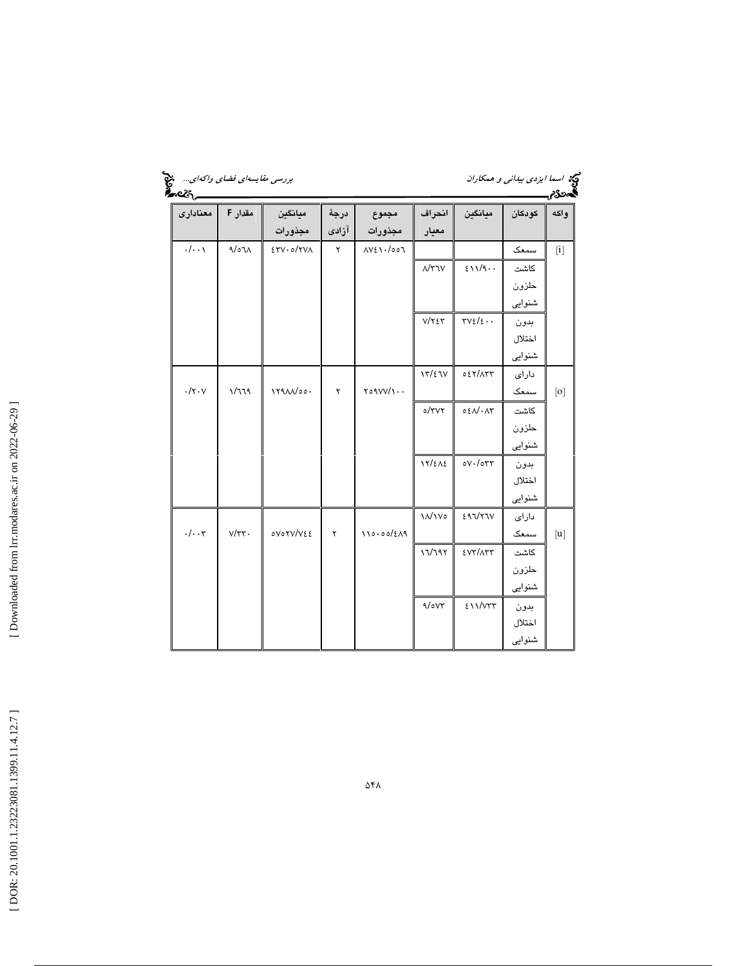| ess.                              |                         |                                          |             |                                               |                  |                                        |        | گەدى<br>م                                                                                                                                                                                                                                                                                                                                                                                                                                                                                                                                                                                                                                                                                                                                                                                                                                                                                                                      |
|-----------------------------------|-------------------------|------------------------------------------|-------------|-----------------------------------------------|------------------|----------------------------------------|--------|--------------------------------------------------------------------------------------------------------------------------------------------------------------------------------------------------------------------------------------------------------------------------------------------------------------------------------------------------------------------------------------------------------------------------------------------------------------------------------------------------------------------------------------------------------------------------------------------------------------------------------------------------------------------------------------------------------------------------------------------------------------------------------------------------------------------------------------------------------------------------------------------------------------------------------|
| معنادارى                          | مقدار F                 | ميانگين                                  | درجة        | مجموع                                         | انحراف           | ميانكين                                | كودكان | واكه                                                                                                                                                                                                                                                                                                                                                                                                                                                                                                                                                                                                                                                                                                                                                                                                                                                                                                                           |
|                                   |                         | مجذورات                                  | آزادى       | مجذورات                                       | معيار            |                                        |        |                                                                                                                                                                                                                                                                                                                                                                                                                                                                                                                                                                                                                                                                                                                                                                                                                                                                                                                                |
| $\cdot/\cdot\cdot$                | $\eta/\circ\eta\Lambda$ | $ETV \cdot o/TV \wedge$                  | $\mathsf Y$ | AYE1.4007                                     |                  |                                        | سمعک   | $[1] % \begin{center} % \includegraphics[width=\linewidth]{imagesSupplemental_3.png} % \end{center} % \caption { % Our method is used for the method. % Our method is used for the method. % Note that the method is used for the method. % Note that the method is used for the method. % Note that the method is used for the method. % Note that the method is used for the method. % Note that the method is used for the method. % Note that the method is used for the method. % Note that the method is used for the method. % Note that the method is used for the method. % Note that the method is used for the method. % Note that the method is used for the method. % Note that the method is used for the method. % Note that the method is used for the method. % Note that the method is used for the method. % Note that the method is used for the method. % Note that the method is used for the method. %$ |
|                                   |                         |                                          |             |                                               | $\Lambda$ /٣٦٧   | 211/9.                                 | كاشت   |                                                                                                                                                                                                                                                                                                                                                                                                                                                                                                                                                                                                                                                                                                                                                                                                                                                                                                                                |
|                                   |                         |                                          |             |                                               |                  |                                        | حلزون  |                                                                                                                                                                                                                                                                                                                                                                                                                                                                                                                                                                                                                                                                                                                                                                                                                                                                                                                                |
|                                   |                         |                                          |             |                                               |                  |                                        | شنوایی |                                                                                                                                                                                                                                                                                                                                                                                                                                                                                                                                                                                                                                                                                                                                                                                                                                                                                                                                |
|                                   |                         |                                          |             |                                               | $V/Y \xi Y$      | $\tau v \epsilon/\epsilon \cdot \cdot$ | بدون   |                                                                                                                                                                                                                                                                                                                                                                                                                                                                                                                                                                                                                                                                                                                                                                                                                                                                                                                                |
|                                   |                         |                                          |             |                                               |                  |                                        | اختلال |                                                                                                                                                                                                                                                                                                                                                                                                                                                                                                                                                                                                                                                                                                                                                                                                                                                                                                                                |
|                                   |                         |                                          |             |                                               |                  |                                        | شنوایی |                                                                                                                                                                                                                                                                                                                                                                                                                                                                                                                                                                                                                                                                                                                                                                                                                                                                                                                                |
|                                   |                         |                                          |             |                                               | 17/27V           | 027/177                                | دارای  |                                                                                                                                                                                                                                                                                                                                                                                                                                                                                                                                                                                                                                                                                                                                                                                                                                                                                                                                |
| $\cdot/\mathsf{y}\cdot\mathsf{y}$ | 1/779                   | $179$ $\Lambda\Lambda/\circ \circ \cdot$ | ۲           | $\gamma \circ \gamma \vee \vee / \cdot \cdot$ |                  |                                        | سمعک   | [0]                                                                                                                                                                                                                                                                                                                                                                                                                                                                                                                                                                                                                                                                                                                                                                                                                                                                                                                            |
|                                   |                         |                                          |             |                                               | $o/\tau\vee\tau$ | $0.501 \cdot \Delta T$                 | كاشت   |                                                                                                                                                                                                                                                                                                                                                                                                                                                                                                                                                                                                                                                                                                                                                                                                                                                                                                                                |
|                                   |                         |                                          |             |                                               |                  |                                        | حلزون  |                                                                                                                                                                                                                                                                                                                                                                                                                                                                                                                                                                                                                                                                                                                                                                                                                                                                                                                                |
|                                   |                         |                                          |             |                                               |                  |                                        | شنوایی |                                                                                                                                                                                                                                                                                                                                                                                                                                                                                                                                                                                                                                                                                                                                                                                                                                                                                                                                |
|                                   |                         |                                          |             |                                               | 17/212           | oV·/orr                                | بدون   |                                                                                                                                                                                                                                                                                                                                                                                                                                                                                                                                                                                                                                                                                                                                                                                                                                                                                                                                |
|                                   |                         |                                          |             |                                               |                  |                                        | اختلال |                                                                                                                                                                                                                                                                                                                                                                                                                                                                                                                                                                                                                                                                                                                                                                                                                                                                                                                                |
|                                   |                         |                                          |             |                                               |                  |                                        | شنوایی |                                                                                                                                                                                                                                                                                                                                                                                                                                                                                                                                                                                                                                                                                                                                                                                                                                                                                                                                |
|                                   |                         |                                          |             |                                               | <b>11/1Vo</b>    | 297/77V                                | دارای  |                                                                                                                                                                                                                                                                                                                                                                                                                                                                                                                                                                                                                                                                                                                                                                                                                                                                                                                                |
| $\cdot/\cdot\cdot$ ۳              | $V/\tau\tau$ .          | ovorv/v٤٤                                | ۲           | 110.00/(219)                                  |                  |                                        | سمعک   | $[u]$                                                                                                                                                                                                                                                                                                                                                                                                                                                                                                                                                                                                                                                                                                                                                                                                                                                                                                                          |
|                                   |                         |                                          |             |                                               | 17/797           | <b>EVT/ATT</b>                         | كاشت   |                                                                                                                                                                                                                                                                                                                                                                                                                                                                                                                                                                                                                                                                                                                                                                                                                                                                                                                                |
|                                   |                         |                                          |             |                                               |                  |                                        | حلزون  |                                                                                                                                                                                                                                                                                                                                                                                                                                                                                                                                                                                                                                                                                                                                                                                                                                                                                                                                |
|                                   |                         |                                          |             |                                               |                  |                                        | شنوایی |                                                                                                                                                                                                                                                                                                                                                                                                                                                                                                                                                                                                                                                                                                                                                                                                                                                                                                                                |
|                                   |                         |                                          |             |                                               | 9/0V             | 211/VTT                                | بدون   |                                                                                                                                                                                                                                                                                                                                                                                                                                                                                                                                                                                                                                                                                                                                                                                                                                                                                                                                |
|                                   |                         |                                          |             |                                               |                  |                                        | اختلال |                                                                                                                                                                                                                                                                                                                                                                                                                                                                                                                                                                                                                                                                                                                                                                                                                                                                                                                                |
|                                   |                         |                                          |             |                                               |                  |                                        | شنوایی |                                                                                                                                                                                                                                                                                                                                                                                                                                                                                                                                                                                                                                                                                                                                                                                                                                                                                                                                |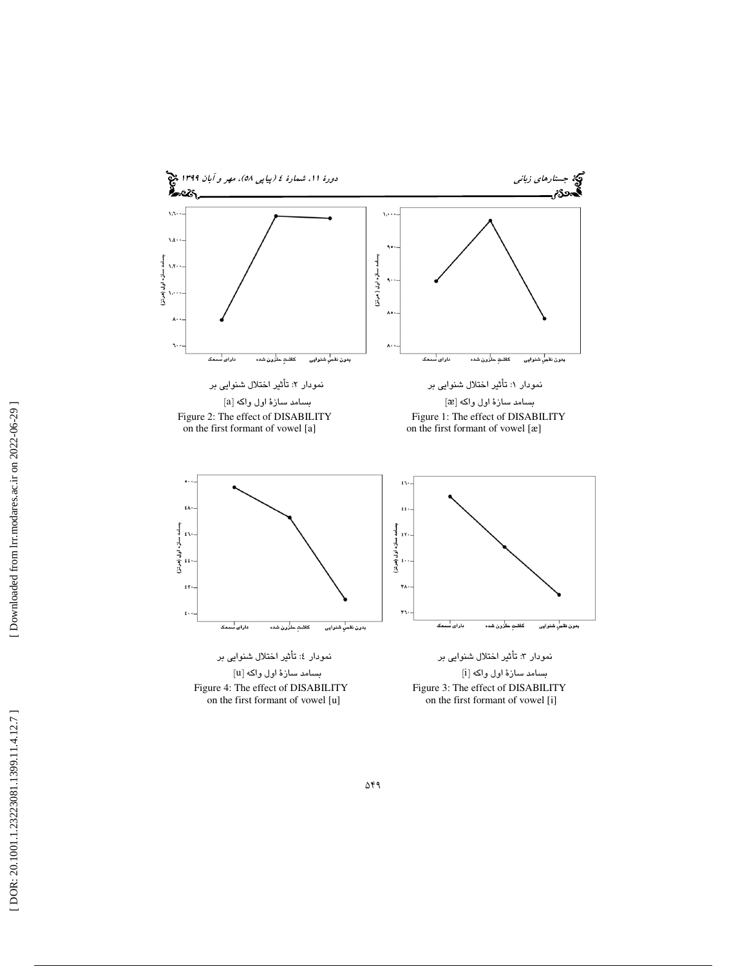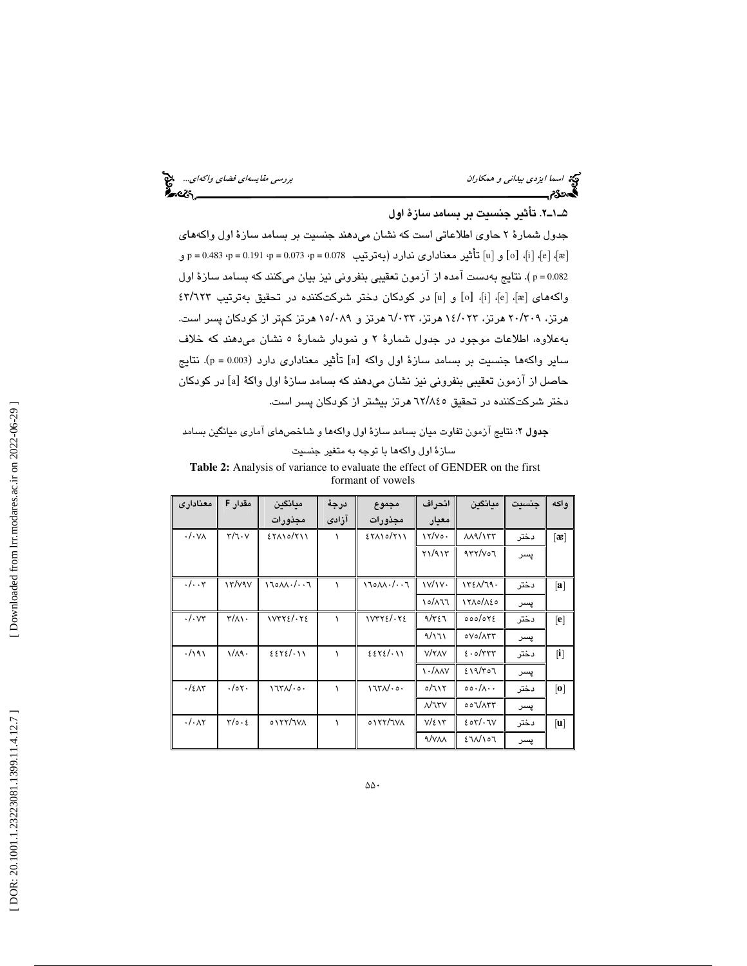| بررسی مقایسه <i>ای فضای واکه ای</i> منبع<br>نیمه می این مقای |  |
|--------------------------------------------------------------|--|
|                                                              |  |

#### 2ـ1ـ5 . تأثير جنسيت بر بسامد سازة اول

جدول شمارة 2 حاوي اطلاعاتي است كه نشان ميدهند جنسيت بر بسامد سازة اول واكههاي ] تأثير معناداري ندارد (بهترتيب 0.078 = p، 0.073 = p، 0.191 = p، 0.483 = p و [و u [ o ] [ ، i [ ،] e [، ] ᴂ ] 0.082 = p( . نتايج بهدست آمده از آزمون تعقيبي بنفروني نيز بيان ميكنند كه بسامد سازة اول واكههاي [e]، [i]، [o] و [u] در كودكان دختر شركتكننده در تحقيق بهترتيب ٤٣/٦٢٣ هرتز، ۲۹/۳۰۹ هرتز، ۱٤/۰۲۳ هرتز، ۷۳-/۷ هرتز و ۱۵/۰۸۹ هرتز کمتر از کودکان پسر است. بهعلاوه، اطلاعات موجود در جدول شمارهٔ ۲ و نمودار شمارهٔ ٥ نشان مىدهند كه خلاف ساير واكهها جنسيت بر بسامد سازهٔ اول واكه [a] تأثير معناداری دارد (p = 0.003). نتايج حاصل از آزمون تعقيبي بنفروني نيز نشان ميدهند كه بسامد سازهٔ اول واكهٔ [a] در كودكان دختر شرکتکننده در تحقیق ۲۲/۸٤٥ هرتز بیشتر از کودکان پسر است.

## جدول ۲: نتايج آزمون تفاوت ميان بسامد سازهٔ اول واكهها و شاخصهاي آماري ميانگين بسامد سازة اول واكهها با توجه به متغير جنسيت

**Table 2:** Analysis of variance to evaluate the effect of GENDER on the first formant of vowels

| معناداري                     | مقدار F                                | ميانگين                        | درجة  | مجموع                          | انحراف                   | مىانگىن                                  | حنست | و اکه             |
|------------------------------|----------------------------------------|--------------------------------|-------|--------------------------------|--------------------------|------------------------------------------|------|-------------------|
|                              |                                        | مجذورات                        | آزادى | مجذورات                        | معيار                    |                                          |      |                   |
| $\cdot$ / $\cdot$ V $\wedge$ | $\mathbf{r}/\mathbf{1}\cdot\mathbf{V}$ | $EY\Lambda$ 10/711             |       | $EY\Lambda$ 10/ $Y$ 11         | ۱۲/۷۰۰                   | $\lambda \lambda \frac{9}{177}$          | دختر | $\lceil 3 \rceil$ |
|                              |                                        |                                |       |                                | Y1/917                   | 477/v                                    | پسر  |                   |
| $\cdot/\cdot\cdot$ ۳         | $\gamma \gamma / \gamma \gamma$        | $11000 \cdot 1007$             |       | 110AA                          | $\frac{1}{\sqrt{1}}$     | 1721/79.                                 | دختر | [a]               |
|                              |                                        |                                |       |                                | 10/177                   | 1710/180                                 | پسر  |                   |
| $\cdot$ / $\cdot$ $\vee\tau$ | $\mathsf{r}/\mathsf{A}$                | $1VTY\epsilon/\cdot Y\epsilon$ |       | $1VTY\epsilon/\cdot Y\epsilon$ | 9/٣٤٦                    | 000/072                                  | دختر | [e]               |
|                              |                                        |                                |       |                                | 9/171                    | oVolATY                                  | پسر  |                   |
| .791                         | $1/\lambda$ 9.                         | 2272/11                        |       | 2272/11                        | <b>V/YAV</b>             | 2.0                                      | دختر | i                 |
|                              |                                        |                                |       |                                | $\frac{1}{\sqrt{2}}$     | 219/307                                  | پسر  |                   |
| .75 <sub>1</sub>             | .70                                    | 1750.00                        |       | 1750                           | 0/717                    | $\circ \circ \cdot / \wedge \cdot \cdot$ | دختر | $\lceil 0 \rceil$ |
|                              |                                        |                                |       |                                | $\Lambda/\tau\tau\vee$   | 007/ATT                                  | پسر  |                   |
| $\cdot/\cdot$ $\wedge\tau$   | $\tau/\circ\cdot\epsilon$              | 0177/7VA                       |       | 0177/7V                        | $V/\epsilon \setminus r$ | 207/17V                                  | دختر | $ {\bf u} $       |
|                              |                                        |                                |       |                                | <b>A/VAA</b>             | EOMN                                     | پسر  |                   |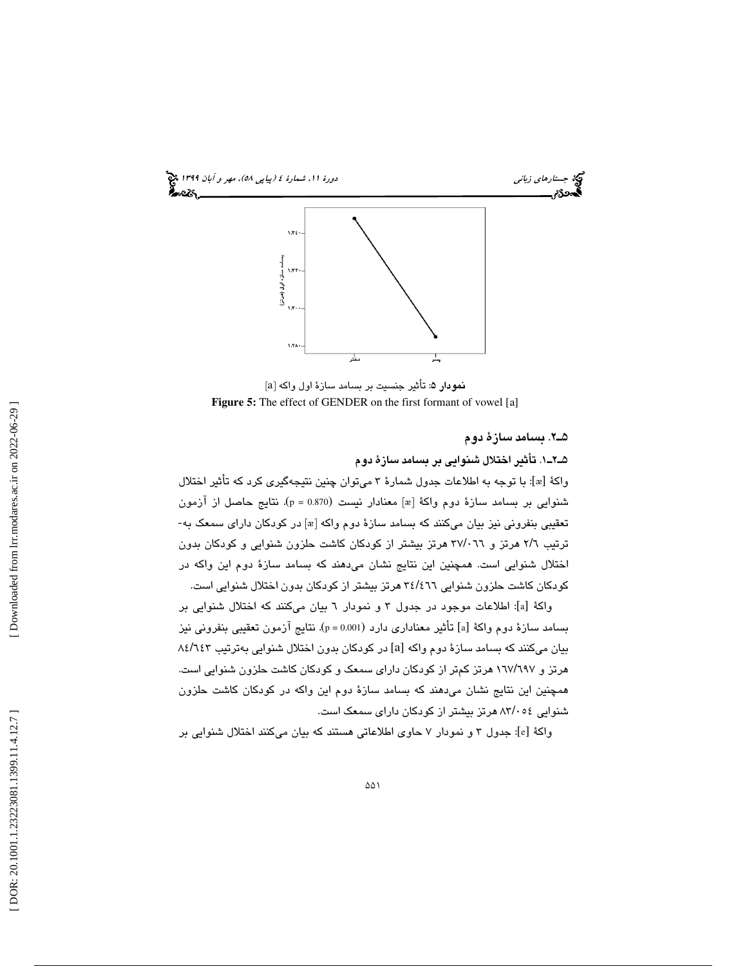

**نمودار ۵**: تأثير جنسيت بر بسامد سازهٔ اول واكه [a] **Figure 5:** The effect of GENDER on the first formant of vowel [a]

#### 2ـ5 . بسامد سازة دوم

1ـ2ـ5 . تأثير اختلال شنوايي بر بسامد سازة دوم

واكهٔ [æ]: با توجه به اطلاعات جدول شمارهٔ ۳ میتوان چنین نتیجهگیری كرد كه تأثیر اختلال شنوايي بر بسامد سازهٔ دوم واكهٔ [æ] معنادار نيست (p = 0.870). نتايج حاصل از آزمون تعقيبي بنفروني نيز بيان ميكنند كه بسامد سازهٔ دوم واكه [æ] در كودكان داراي سمعک به-ترتيب ٢/٦ هرتز و ٣٧/٠٦٦ هرتز بيشتر از كودكان كاشت حلزون شنوايي و كودكان بدون اختلال شنوايي است. همچنين اين نتايج نشان ميدهند كه بسامد سازة دوم اين واكه در کودکان کاشت حلزون شنوایی ۳٤/٤٦٦ هرتز بیشتر از کودکان بدون اختلال شنوایی است.

واكة [a]: اطلاعات موجود در جدول ٣ و نمودار ٦ بيان ميكنند كه اختلال شنوايي بر بسامد سازهٔ دوم واکهٔ [a] تأثیر معناداری دارد (p = 0.001). نتایج آزمون تعقیبی بنفرونی نیز بيان ميكنند كه بسامد سازة دوم واكه [a] در كودكان بدون اختلال شنوايي بهترتيب ٨٤/٦٤٣ هرتز و ۱٦٧/٦٩٧ هرتز كمتر از كودكان دارای سمعک و کودکان کاشت حلزون شنوایی است. همچنين اين نتايج نشان ميدهند كه بسامد سازة دوم اين واكه در كودكان كاشت حلزون شنوايی ٨٣/٠٥٤ هرتز بيشتر از كودكان دارای سمعک است.

واكهٔ [e]: جدول ۳ و نمودار ۷ حاوی اطلاعاتی هستند که بیان میکنند اختلال شنوایی بر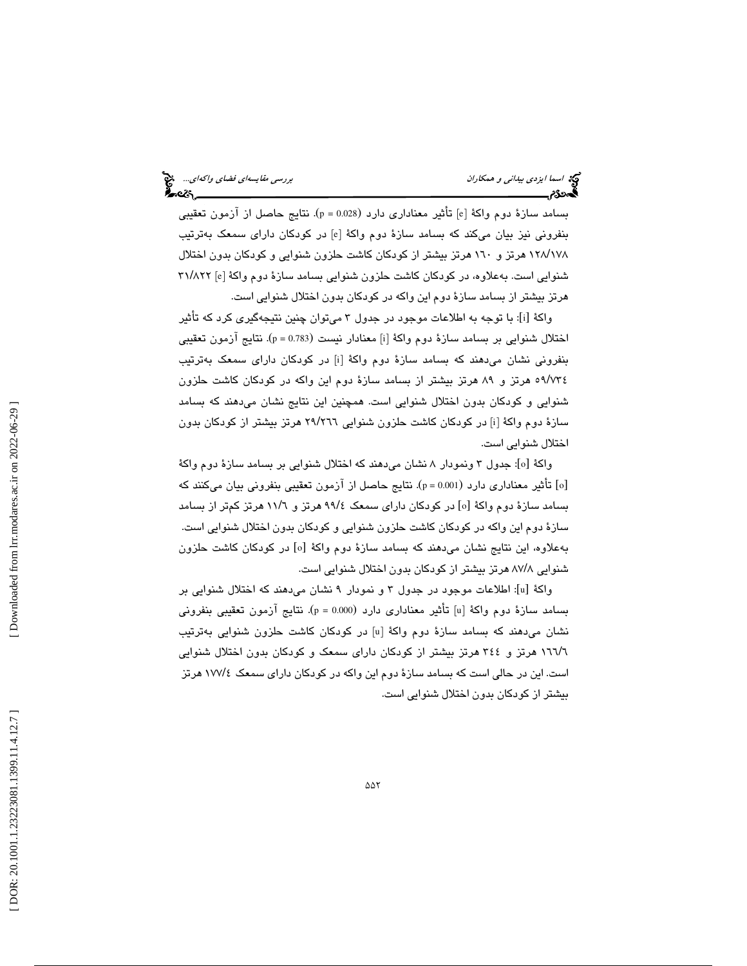بسامد سازهٔ دوم واکهٔ [e] تأثیر معناداری دارد (p = 0.028). نتایج حاصل از آزمون تعقیبی بنفرونی نیز بیان میکند که بسامد سازهٔ دوم واکهٔ [e] در کودکان دارای سمعک بهترتیب ۱۲۸/۱۷۸ هرتز و ۱٦۰ هرتز بیشتر از كودكان كاشت حلزون شنوایی و كودكان بدون اختلال شنوايي است. بهعلاوه، در كودكان كاشت حلزون شنوايي بسامد سازهٔ دوم واكهٔ [e] ۳۱/۸۲۲ هرتز بيشتر از بسامد سازة دوم اين واكه در كودكان بدون اختلال شنوايي است.

واكهٔ [i]: با توجه به اطلاعات موجود در جدول ۳ میتوان چنین نتیجهگیری كرد كه تأثیر اختلال شنوايي بر بسامد سازهٔ دوم واكهٔ [i] معنادار نيست (p = 0.783). نتايج آزمون تعقيبي بنفرونی نشان میدهند که بسامد سازهٔ دوم واکهٔ [i] در کودکان دارای سمعک بهترتیب ٥٩/٧٣٤ هرتز و ٨٩ هرتز بيشتر از بسامد سازهٔ دوم اين واكه در كودكان كاشت حلزون شنوايي و كودكان بدون اختلال شنوايي است. همچنين اين نتايج نشان ميدهند كه بسامد سازهٔ دوم واکهٔ [i] در کودکان کاشت حلزون شنوایی ۲۹/۲٦٦ هرتز بیشتر از کودکان بدون اختلال شنوايي است.

واكة [٥]: جدول ٣ ونمودار ٨ نشان مىدهند كه اختلال شنوايي بر بسامد سازة دوم واكة [٥] تأثير معناداري دارد (p=0.001). نتايج حاصل از آزمون تعقيبي بنفروني بيان ميكنند كه بسامد سازهٔ دوم واکهٔ [٥] در کودکان دارای سمعک ۹۹/٤ هرتز و ۱۱/٦ هرتز کمتر از بسامد سازة دوم اين واكه در كودكان كاشت حلزون شنوايي و كودكان بدون اختلال شنوايي است. بهعلاوه، اين نتايج نشان مىدهند كه بسامد سازهٔ دوم واكهٔ [٥] در كودكان كاشت حلزون شنوایی ۸۷/۸ هرتز بیشتر از کودکان بدون اختلال شنوایی است.

: اطلاعات موجود در جدول 3 و نمودار 9 نشان ميدهند كه اختلال شنوايي بر [ u واكة [ بسامد سازهٔ دوم واکهٔ [u] تأثیر معناداری دارد (p = 0.000). نتایج آزمون تعقیبی بنفرونی نشان میدهند که بسامد سازهٔ دوم واکهٔ [u] در کودکان کاشت حلزون شنوایی بهترتیب 166 هرتز و 344 هرتز بيشتر از كودكان داراي سمعك و كودكان بدون اختلال شنوايي / 6 است. این در حالی است که بسامد سازهٔ دوم این واکه در کودکان دارای سمعک ١٧٧/٤ هرتز بيشتر از كودكان بدون اختلال شنوايي است.

 [\[ DOR: 20.1001.1.23223081.1399.11.4.12](https://dorl.net/dor/20.1001.1.23223081.1399.11.4.12.7).7 ] [\[ Downloaded from lrr.modares.ac.ir on 20](https://lrr.modares.ac.ir/article-14-26080-fa.html)22-06-29 ] Downloaded from lrr.modares.ac.ir on 2022-06-29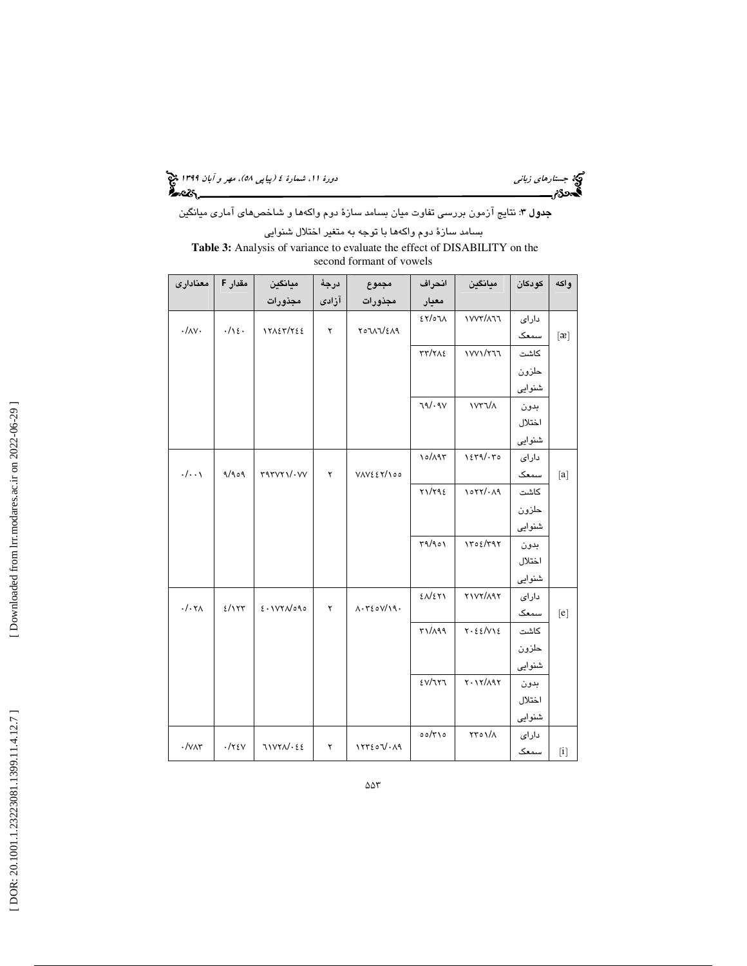(پياپي 58)، مهر و آبان 1399 جستارهاي زباني دورة ،11 شمارة 4

**جدول ٣:** نتايج آزمون بررسى تفاوت ميان بسامد سازهٔ دوم واكهها و شاخصهاى آمارى ميانگين بسامد سازة دوم واكهها با توجه به متغير اختلال شنوايي

**Table 3:** Analysis of variance to evaluate the effect of DISABILITY on the second formant of vowels

| معنادارى           | مقدار F      | ميانگين         | درجة  | مجموع                                               | انحراف                | ميانگين                 | كودكان | واكه             |
|--------------------|--------------|-----------------|-------|-----------------------------------------------------|-----------------------|-------------------------|--------|------------------|
|                    |              | مجذورات         | آزادى | مجذورات                                             | معيار                 |                         |        |                  |
|                    |              |                 |       |                                                     | $\lambda \mathcal{F}$ | $VVT/\lambda 77$        | دارای  |                  |
| $\cdot/\wedge$     | .71          | 17127/722       | ۲     | <b>TOJAJ/EA9</b>                                    |                       |                         | سمعک   | $[\mathfrak{B}]$ |
|                    |              |                 |       |                                                     | <b>TT/TAE</b>         | $1$ $V$ $V$ $V$ $T$ $T$ | كاشت   |                  |
|                    |              |                 |       |                                                     |                       |                         | حلزون  |                  |
|                    |              |                 |       |                                                     |                       |                         | شنوایی |                  |
|                    |              |                 |       |                                                     | 79/09V                | $NYY/\Lambda$           | بدون   |                  |
|                    |              |                 |       |                                                     |                       |                         | اختلال |                  |
|                    |              |                 |       |                                                     |                       |                         | شنوایی |                  |
|                    |              |                 |       |                                                     | 10/197                | $1279/\cdot 70$         | دارای  |                  |
| $\cdot/\cdot\cdot$ | 9/909        | $r$ ۹۳۷۲۱/۰۷۷   | ۲     | $V \wedge V \in Y \wedge \circ \circ$               |                       |                         | سمعک   | $[a]$            |
|                    |              |                 |       |                                                     | Y1/Y92                | 1077/199                | كاشت   |                  |
|                    |              |                 |       |                                                     |                       |                         | حلزون  |                  |
|                    |              |                 |       |                                                     |                       |                         | شنوایی |                  |
|                    |              |                 |       |                                                     | 49/901                | 1702/T97                | بدون   |                  |
|                    |              |                 |       |                                                     |                       |                         | اختلال |                  |
|                    |              |                 |       |                                                     |                       |                         | شنوایی |                  |
|                    |              |                 |       |                                                     | $2\Delta$ /271        | <b>TIVY/197</b>         | دارای  |                  |
| $\cdot/\cdot \tau$ | 2/157        | 2.1VYN          | ۲     | $\Lambda \cdot \tau \epsilon \circ \sqrt{19} \cdot$ |                       |                         | سمعک   | [e]              |
|                    |              |                 |       |                                                     | ۳۱/۸۹۹                | Y.55/VIE                | كاشت   |                  |
|                    |              |                 |       |                                                     |                       |                         | حلزون  |                  |
|                    |              |                 |       |                                                     |                       |                         | شنوایی |                  |
|                    |              |                 |       |                                                     | EV/777                | $Y \cdot Y / \Lambda Y$ | بدون   |                  |
|                    |              |                 |       |                                                     |                       |                         | اختلال |                  |
|                    |              |                 |       |                                                     |                       |                         | شنوایی |                  |
|                    |              |                 |       |                                                     | $00/\tau$             | ١/٥٦/٢                  | دارای  |                  |
| $\cdot$ / $\vee$   | $\cdot$ /۲٤۷ | $71YYA/\cdot E$ | ۲     | 157207.19                                           |                       |                         | سمعک   | $[$              |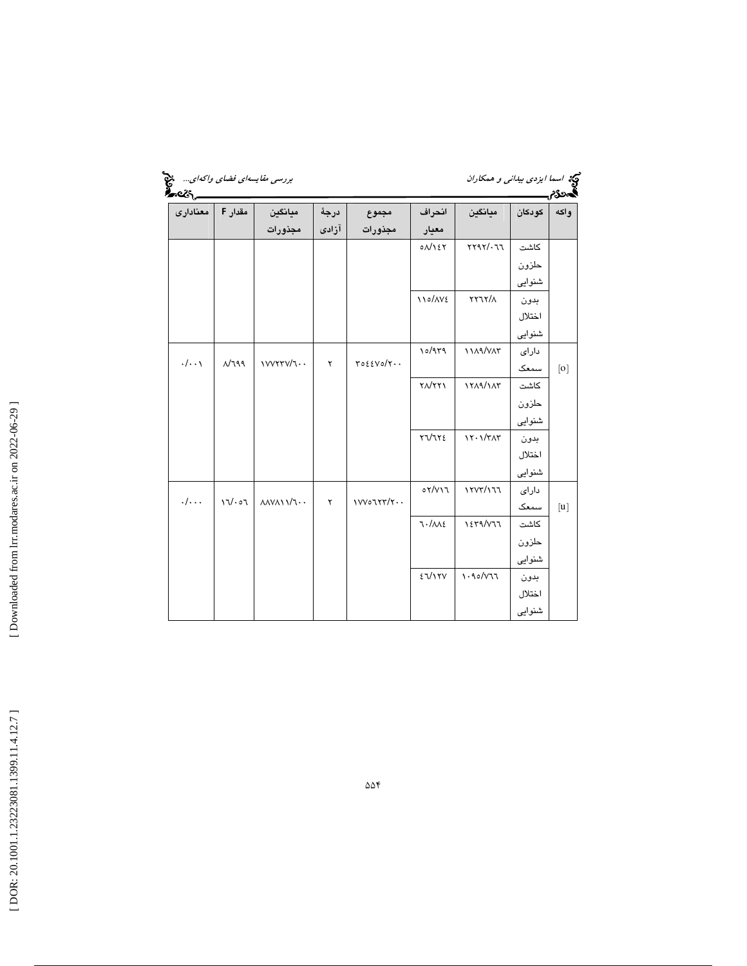| <b>Breat</b>       |         | بررسی مقایسهای فضای واکهای                                |       |           |               | گیج اسم <i>ا ایزدی بیدان<sub>ی</sub> و همکاران</i><br><b>گمونگرمی استانستان</b> |        |      |
|--------------------|---------|-----------------------------------------------------------|-------|-----------|---------------|---------------------------------------------------------------------------------|--------|------|
| مقدار F   معناداری |         | ميانگين                                                   | درجة  | مجموع     | انحراف        | ميانگين                                                                         | كودكان | واكه |
|                    |         | مجذورات                                                   | آزادى | مجذورات   | معيار         |                                                                                 |        |      |
|                    |         |                                                           |       |           | $0$ $N$ $57$  | YY9Y'.77                                                                        | كاشت   |      |
|                    |         |                                                           |       |           |               |                                                                                 | حلزون  |      |
|                    |         |                                                           |       |           |               |                                                                                 | شنوایی |      |
|                    |         |                                                           |       |           | 110/AVE       | XYXY/2                                                                          | بدون   |      |
|                    |         |                                                           |       |           |               |                                                                                 | اختلال |      |
|                    |         |                                                           |       |           |               |                                                                                 | شنوایی |      |
|                    |         |                                                           |       |           | 10/979        | <b>11/19/V/T</b>                                                                | دارای  |      |
| $\cdot/\cdot\cdot$ | $N$ 199 | <b>IVVYTV/1</b>                                           | ۲     | YoEYo/Y   |               |                                                                                 | سمعک   | [0]  |
|                    |         |                                                           |       |           | $Y\Lambda/YY$ | 1719/11                                                                         | كاشت   |      |
|                    |         |                                                           |       |           |               |                                                                                 | حلزون  |      |
|                    |         |                                                           |       |           |               |                                                                                 | شنوایی |      |
|                    |         |                                                           |       |           | YV1Y2         | $17.1/\tau\Lambda\tau$                                                          | بدون   |      |
|                    |         |                                                           |       |           |               |                                                                                 | اختلال |      |
|                    |         |                                                           |       |           |               |                                                                                 | شنوایی |      |
|                    |         |                                                           |       |           | oY/Y17        | 1717/177                                                                        | دارای  |      |
| . /                | 17/07   | $\lambda \lambda \lambda \lambda \lambda \lambda \lambda$ | ۲     | 1VV07YY/Y |               |                                                                                 | سمعک   | [u]  |
|                    |         |                                                           |       |           | 7.1115        | 1279/477                                                                        | كاشت   |      |
|                    |         |                                                           |       |           |               |                                                                                 | حلزون  |      |
|                    |         |                                                           |       |           |               |                                                                                 | شنوایی |      |
|                    |         |                                                           |       |           | 27/17V        | 1.90/V77                                                                        | بدون   |      |
|                    |         |                                                           |       |           |               |                                                                                 | اختلال |      |
|                    |         |                                                           |       |           |               |                                                                                 | شنوایی |      |

[Downloaded from lrr.modares.ac.ir on 2022-06-29]  [\[ DOR: 20.1001.1.23223081.1399.11.4.12](https://dorl.net/dor/20.1001.1.23223081.1399.11.4.12.7).7 ] [\[ Downloaded from lrr.modares.ac.ir on 20](https://lrr.modares.ac.ir/article-14-26080-fa.html)22-06-29 ]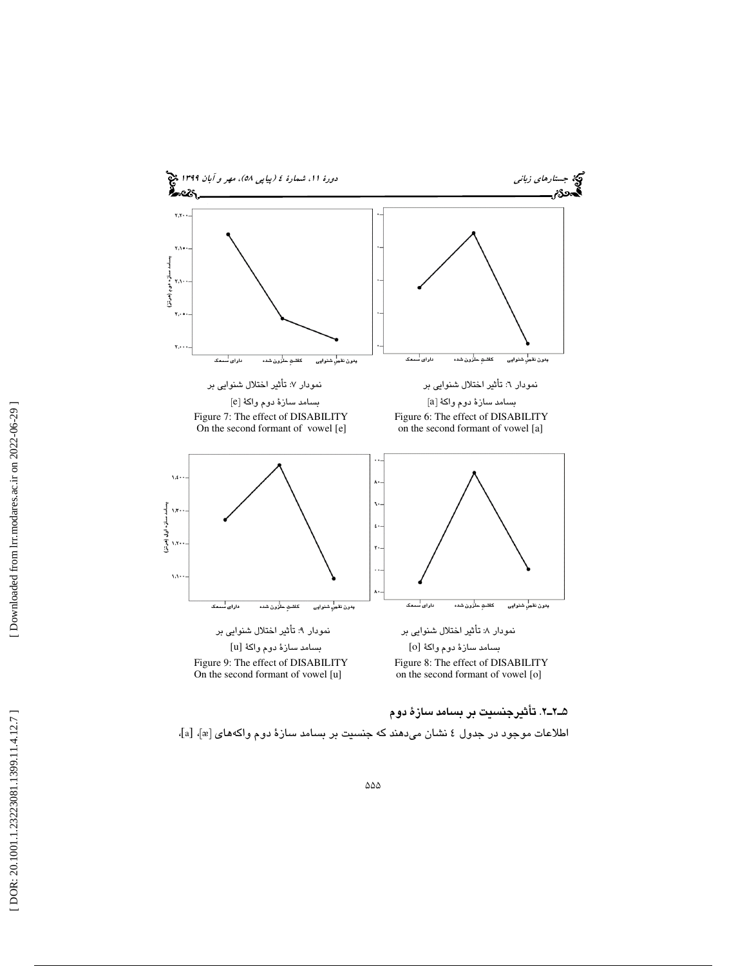

2ـ2ـ5 . تأثيرجنسيت بر بسامد سازة دوم

اطلاعات موجود در جدول ٤ نشان ميدهند كه جنسيت بر بسامد سازۀ دوم واكههاي [a]، [a]،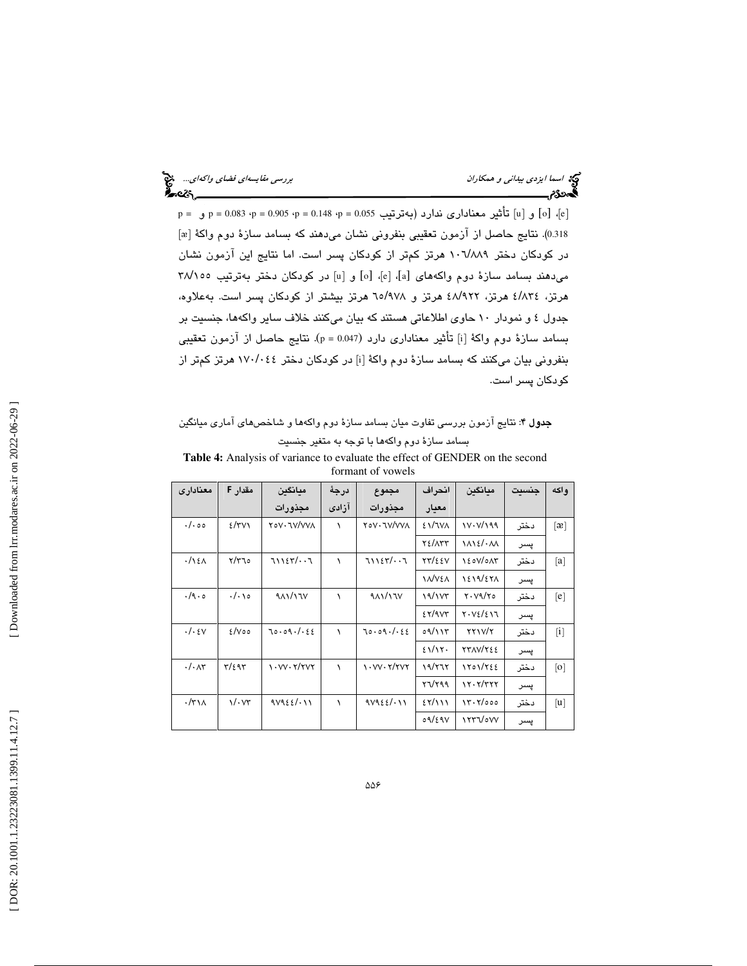p = 0.083 ·p = 0.905 ·p = 0.148 ·p = 0.055 ؛p = 0.055 و p = 0.083 ·p = 0.083 .p = 0.083 ] و p = 0.08 0.318). نتايج حاصل از آزمون تعقيبي بنفروني نشان ميدهند كه بسامد سازهٔ دوم واكهٔ [æ] در كودكان دختر ۱۰٦/۸۸۹ هرتز كمتر از كودكان پسر است. اما نتايج اين آزمون نشان میدهند بسامد سازهٔ دوم واكههای [a]، [e]، [o] و [u] در كودكان دختر بهترتيب ٢٨/١٥٥ هرتز، ٤/٨٣٤ هرتز، ٤٨/٩٢٢ هرتز و ٦٥/٩٧٨ هرتز بيشتر از كودكان پسر است. بهعلاوه، جدول 4 و نمودار 10 حاوي اطلاعاتي هستند كه بيان ميكنند خلاف ساير واكهها، جنسيت بر بسامد سازهٔ دوم واکهٔ [i] تأثیر معناداری دارد (p = 0.047). نتایج حاصل از آزمون تعقیبی بنفرونی بیان میکنند که بسامد سازهٔ دوم واکهٔ [i] در کودکان دختر ١٧٠/٠٤٤ هرتز کمتر از كودكان پسر است.

**جدول ۴**: نتايج آزمون بررسي تفاوت ميان بسامد سازهٔ دوم واكهها و شاخصهاي آماري ميانگين بسامد سازة دوم واكهها با توجه به متغير جنسيت

**Table 4:** Analysis of variance to evaluate the effect of GENDER on the second formant of vowels

| معنادارى                   | مقدار F             | ممانگىن                    | درجة  | مجموع                                       | انحراف        | ميانگين                               | حنست | و اکه             |
|----------------------------|---------------------|----------------------------|-------|---------------------------------------------|---------------|---------------------------------------|------|-------------------|
|                            |                     | مجذورات                    | آزادى | مجذورات                                     | معيار         |                                       |      |                   |
| $\cdot$ / $\cdot$ 00       | $2/\tau v \wedge$   | <b>YOV. JV/VVA</b>         | ١     | <b>TOV· TV/VVA</b>                          | <b>ENTVA</b>  | 18/1199                               | دختر | $\lceil x \rceil$ |
|                            |                     |                            |       |                                             | <b>TE/ATT</b> | $1\Lambda$ $2/\cdot$ $\Lambda\Lambda$ | پسر  |                   |
| $\cdot/\right. \times$     | $\gamma/\gamma$     | 7112577                    | ١     | 7112577                                     | <b>TT/22V</b> | <b>۱٤٥٧/٥٨٣</b>                       | دختر | [a]               |
|                            |                     |                            |       |                                             | <b>INVEA</b>  | 1219/271                              | پسر  |                   |
| .4.0                       | ۱۰/۰۱۵              | 911/177                    | ١     | 911/17V                                     | 19/107        | Y. V9/Y0                              | دختر | [e]               |
|                            |                     |                            |       |                                             | 55/9V         | 8.VE/E17                              | پسر  |                   |
| . /                        | $2/V$ 00            | 70.09.1.52                 | ١     | 70.09.1.52                                  | 09/117        | XYIV/Y                                | دختر | $\lceil i \rceil$ |
|                            |                     |                            |       |                                             | 21/15         | <b>TTAV/TEE</b>                       | پسر  |                   |
| $\cdot/\cdot$ $\wedge\tau$ | $\tau/\epsilon$ 95  | $\cdots$ $\cdots$ $\cdots$ | ١     | $\cdots$ vv $\cdot$ $\mathsf{Y}/\mathsf{Y}$ | 19/777        | 1201/722                              | دختر | $\lceil 0 \rceil$ |
|                            |                     |                            |       |                                             | YVY99         | 17.7/T77                              | پسر  |                   |
| $\cdot$ /٣١٨               | $\sqrt{\cdot}v\tau$ | 9V9EE/.11                  | ١     | 9V9EE/111                                   | 55/111        | 15.7/000                              | دختر | [u]               |
|                            |                     |                            |       |                                             | 09/29V        | ITTVoVV                               | پسر  |                   |

 [\[ DOR: 20.1001.1.23223081.1399.11.4.12](https://dorl.net/dor/20.1001.1.23223081.1399.11.4.12.7).7 ] [\[ Downloaded from lrr.modares.ac.ir on 20](https://lrr.modares.ac.ir/article-14-26080-fa.html)22-06-29 ] Downloaded from lrr.modares.ac.ir on 2022-06-29 ]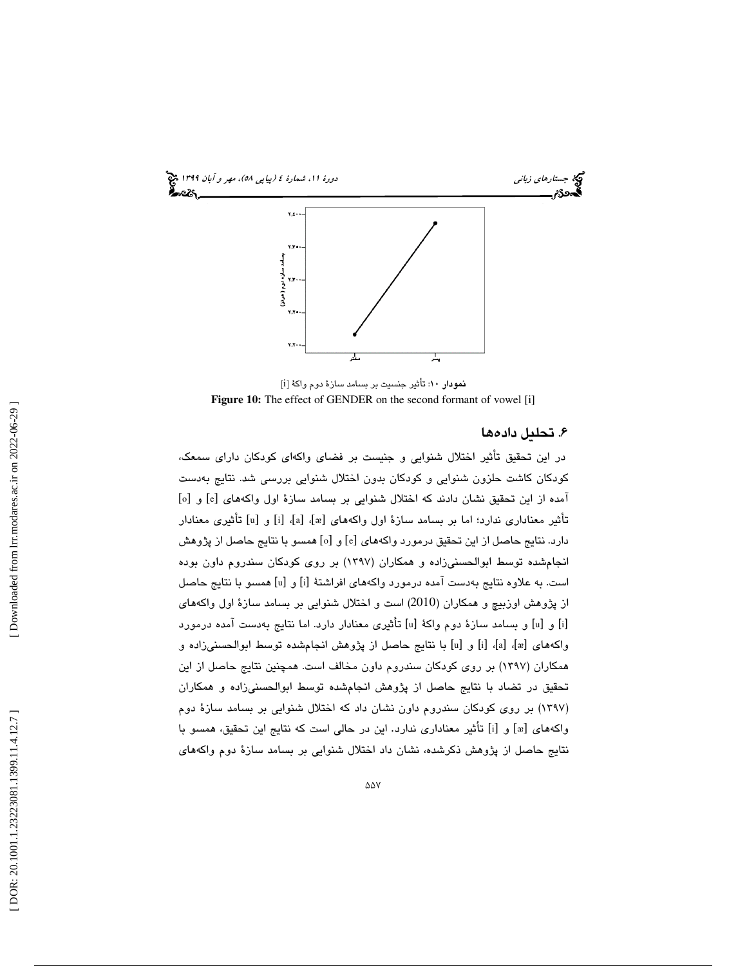

[ i نمودار 10: تأثير جنسيت بر بسامد سازة دوم واكة [ Figure 10: The effect of GENDER on the second formant of vowel [i]

## . تحليل داده ها 6

در اين تحقيق تأثير اختلال شنوايي و جنيست بر فضاي واكهاي كودكان داراي سمعك ، کودکان کاشت حلزون شنوايي و کودکان بدون اختلال شنوايي بررسی شد. نتايج بهدست<br>آمده از اين تحقيق نشان دادند که اختلال شنوايي بر بسامد سازهٔ اول واکههاي [e] و [o] تأثير معنادارى ندارد؛ اما بر بسامد سازهٔ اول واكههاى [æ]، [a]، [i] و [u] تأثيرى معنادار دارد. نتايج حاصل از اين تحقيق درمورد واكههاى [e] و [o] همسو با نتايج حاصل از پژوهش انجامشده توسط ابوالحسنيزاده و همكاران (1397) بر روي كودكان سندروم داون بوده است. به علاوه نتايج بهدست آمده درمورد واكههاى افراشتهٔ [i] و [u] همسو با نتايج حاصل از پژوهش اوزبيچ و همكاران (2010 ) است و اختلال شنوايي بر بسامد سازة اول واكههاي [i] و [u] و بسامد سازهٔ دوم واکهٔ [u] تأثیری معنادار دارد. اما نتایج بهدست آمده درمورد واكههاى [a]، [a] و [u] با نتايج حاصل از پژوهش انجامشده توسط ابوالحسنىزاده و همكاران (1397) بر روي كودكان سندروم داون مخالف است. همچنين نتايج حاصل از اين تحقيق در تضاد با نتايج حاصل از پژوهش انجامشده توسط ابوالحسنيزاده و همكاران (۱۳۹۷) بر روی كودكان سندروم داون نشان داد كه اختلال شنوایی بر بسامد سازهٔ دوم واكههاي [æ] و [i] تأثير معناداري ندارد. اين در حالي است كه نتايج اين تحقيق، همسو با نتايج حاصل از پژوهش ذكرشده، نشان داد اختلال شنوايي بر بسامد سازة دوم واكههاي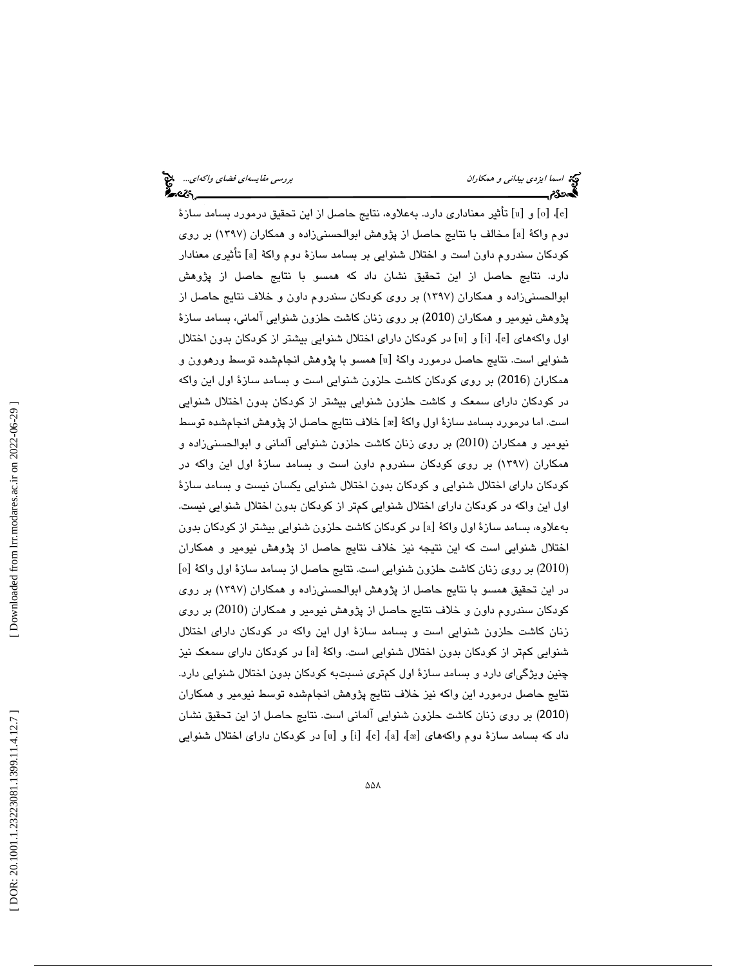[ء]، [o] و [u] تأثير معناداري دارد. بهعلاوه، نتايج حاصل از اين تحقيق درمورد بسامد سازهٔ دوم واكهٔ [a] مخالف با نتايج حاصل از پژوهش ابوالحسنيزاده و همكاران (١٣٩٧) بر روي كودكان سندروم داون است و اختلال شنوايي بر بسامد سازهٔ دوم واكهٔ [a] تأثيري معنادار دارد. نتايج حاصل از اين تحقيق نشان داد كه همسو با نتايج حاصل از پژوهش ابوالحسنيزاده و همكاران (1397) بر روي كودكان سندروم داون و خلاف نتايج حاصل از پژوهش نيومير و همكاران (2010) بر روي زنان كاشت حلزون شنوايي آلماني، بسامد سازة اول واكههاي [e]، [i] و [u] در كودكان داراي اختلال شنوايي بيشتر از كودكان بدون اختلال شنوايي است. نتايج حاصل درمورد واكهٔ [u] همسو با پژوهش انجامشده توسط ورهوون و همكاران (2016) بر روي كودكان كاشت حلزون شنوايي است و بسامد سازة اول اين واكه در كودكان داراي سمعك و كاشت حلزون شنوايي بيشتر از كودكان بدون اختلال شنوايي است. اما درمورد بسامد سازهٔ اول واکهٔ [»] خلاف نتایج حاصل از پژوهش انجامشده توسط نيومير و همكاران (2010) بر روي زنان كاشت حلزون شنوايي آلماني و ابوالحسنيزاده و همكاران (1397) بر روي كودكان سندروم داون است و بسامد سازة اول اين واكه در كودكان داراي اختلال شنوايي و كودكان بدون اختلال شنوايي يكسان نيست و بسامد سازة اول اين واكه در كودكان داراي اختلال شنوايي كمتر از كودكان بدون اختلال شنوايي نيست. بهعلاوه، بسامد سازهٔ اول واکهٔ [a] در کودکان کاشت حلزون شنوایی بیشتر از کودکان بدون اختلال شنوايي است كه اين نتيجه نيز خلاف نتايج حاصل از پژوهش نيومير و همكاران<br>(2010) بر روی زنان كاشت حلزون شنوايي است. نتايج حاصل از بسامد سازهٔ اول واكهٔ [o] در اين تحقيق همسو با نتايج حاصل از پژوهش ابوالحسنيزاده و همكاران (1397) بر روي كودكان سندروم داون و خلاف نتايج حاصل از پژوهش نيومير و همكاران ( 2010) بر روي زنان كاشت حلزون شنوايي است و بسامد سازة اول اين واكه در كودكان داراي اختلال شنوايي كم تر از كودكان بدون اختلال شنوايي است. واكهٔ [a] در كودكان داراي سمعک نيز چنين ويژگياي دارد و بسامد سازة اول كمتري نسبتبه كودكان بدون اختلال شنوايي دارد. نتايج حاصل درمورد اين واكه نيز خلاف نتايج پژوهش انجامشده توسط نيومير و همكاران 2010) بر روي زنان كاشت حلزون شنوايي آلماني است. نتايج حاصل از اين تحقيق نشان ) داد كه بسامد سازهٔ دوم واكههاي [æ]، [a]، [e] و[u] در كودكان داراي اختلال شنوايي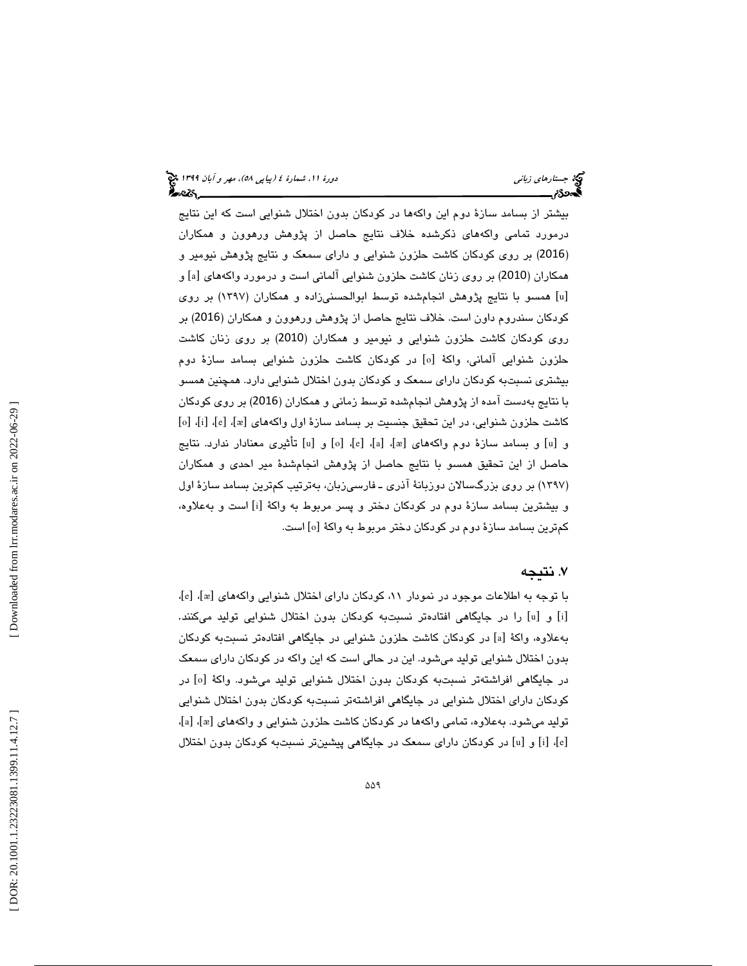بيشتر از بسامد سازة دوم اين واكهها در كودكان بدون اختلال شنوايي است كه اين نتايج درمورد تمامي واكههاي ذكرشده خلاف نتايج حاصل از پژوهش ورهوون و همكاران 2016) بر روي كودكان كاشت حلزون شنوايي و داراي سمعك و نتايج پژوهش نيومير و ) همكاران (2010) بر روى زنان كاشت حلزون شنوايي آلماني است و درمورد واكههاي [a] و همسو با نتايج پژوهش انجامشده توسط ابوالحسنيزاده و همكاران (1397) بر روي [ u ] كودكان سندروم داون است. خلاف نتايج حاصل از پژوهش ورهوون و همكاران (2016) بر روی كودكان كاشت حلزون شنوايی و نيومير و همكاران (2010) بر روی زنان كاشت حلزون شنوايي آلماني، واكهٔ [o] در كودكان كاشت حلزون شنوايي بسامد سازهٔ دوم بيشتري نسبتبه كودكان داراي سمعك و كودكان بدون اختلال شنوايي دارد. همچنين همسو با نتایج بهدست آمده از پژوهش انجامشده توسط زمانی و همکاران (2016) بر روی کودکان<br>کاشت حلزون شنوایی، در این تحقیق جنسیت بر بسامد سازهٔ اول واکههای [æ]، [e]، [i]، [o] و [u] و بسامد سازهٔ دوم واكههاي [æ]، [a]، [e]، [o] و [u] تأثيري معنادار ندارد. نتايج حاصل از اين تحقيق همسو با نتايج حاصل از پژوهش انجامشدة مير احدي و همكاران (۱۳۹۷) بر روی بزرگسـالان دوزبانهٔ اذری ـ فارسـی(بان، بهترتیب كمترین بسـامد سـازهٔ اول و بيشترين بسامد سازهٔ دوم در كودكان دختر و پسر مربوط به واكهٔ [i] است و بهعلاوه، كمترين بسامد سازهٔ دوم در كودكان دختر مربوط به واكهٔ [o] است.

## . نتيجه 7

 ، [ e ] ، [ ᴂ با توجه به اطلاعات موجود در نمودار ،11 كودكان داراي اختلال شنوايي واكههاي [ [i] و [u] را در جایگاهی افتادهتر نسبتبه کودکان بدون اختلال شنوایی تولید میکنند. بهعلاوه، واكهٔ [a] در كودكان كاشت حلزون شنوايي در جايگاهي افتادهتر نسبتبه كودكان بدون اختلال شنوايي توليد ميشود. اين در حالي است كه اين واكه در كودكان داراي سمعك در [ o در جايگاهي افراشتهتر نسبتبه كودكان بدون اختلال شنوايي توليد ميشود. واكة [ كودكان داراي اختلال شنوايي در جايگاهي افراشتهتر نسبتبه كودكان بدون اختلال شنوايي توليد ميشود. بهعلاوه، تمامي واكهها در كودكان كاشت حلزون شنوايي و واكههاي [æ]، [a]، [ء]، [i] و [u] در كودكان داراي سمعک در جايگاهي پيشينتر نسبتبه كودكان بدون اختلال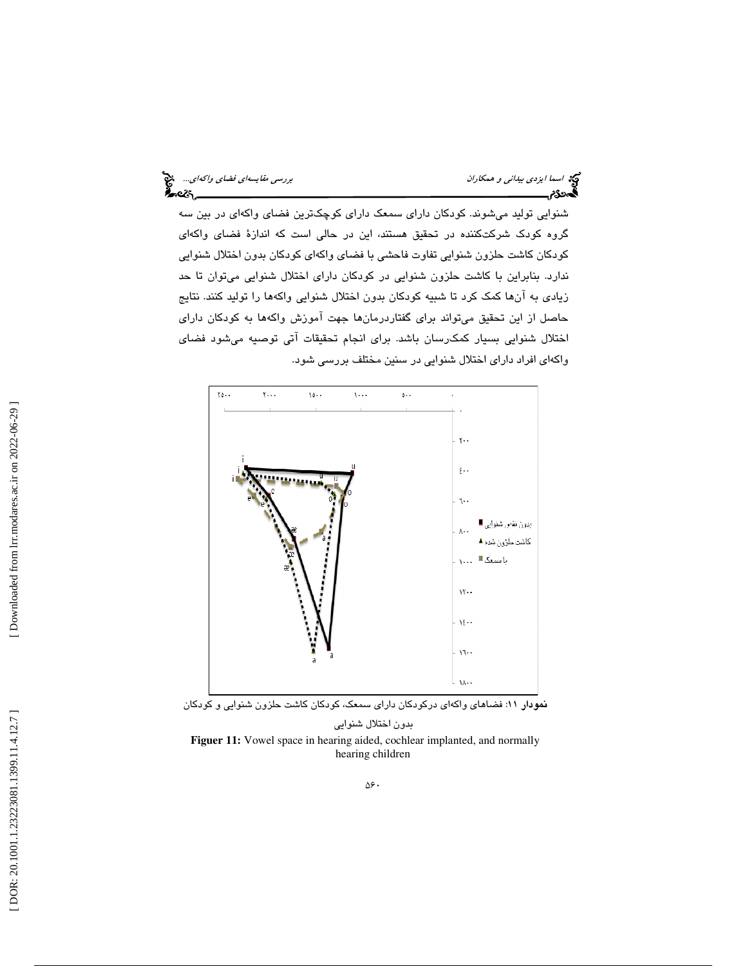شنوايي توليد ميشوند. كودكان داراي سمعك داراي كوچكترين فضاي واكهاي در بين سه گروه كودك شركتكننده در تحقيق هستند، اين در حالي است كه اندازة فضاي واكهاي كودكان كاشت حلزون شنوايي تفاوت فاحشي با فضاي واكهاي كودكان بدون اختلال شنوايي ندارد. بنابراين با كاشت حلزون شنوايي در كودكان داراي اختلال شنوايي ميتوان تا حد زيادي به آنها كمك كرد تا شبيه كودكان بدون اختلال شنوايي واكهها را توليد كنند. نتايج حاصل از اين تحقيق ميتواند براي گفتاردرمانها جهت آموزش واكهها به كودكان داراي اختلال شنوايي بسيار كمكرسان باشد. براي انجام تحقيقات آتي توصيه ميشود فضاي ي افراد داراي اختلال شنوايي در سنين مختلف بررسي شود. واكها



نمودار 11: فضاهاي واكهاي دركودكان داراي سمعك، كودكان كاشت حلزون شنوايي و كودكان

بدون اختلال شنوايي **Figuer 11:** Vowel space in hearing aided, cochlear implanted, and normally hearing children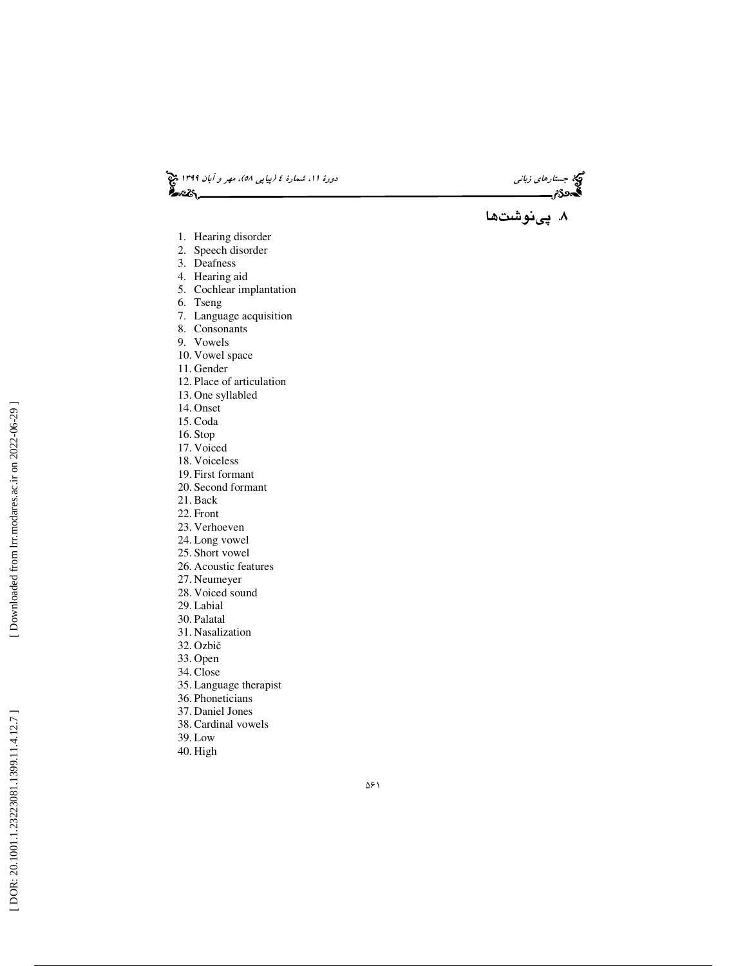د*ورهٔ ۱۱، شمارهٔ ٤ (پیاپی ٥٨)، مهر و آبان ۱۳۹۹* پنج<br>۱۳۵**۶ -**<br>۱۳۵**۶ -**جستارهاي زباني دورة ،11 شمارة ،21 دورة الشمارة ع

. پينوشتها 8

- 1. Hearing disorder
- 2. Speech disorder
- 3. Deafness
- 4. Hearing aid
- 5. Cochlear implantation
- 6. Tseng
- 7. Language acquisition
- 8. Consonants
- 9. Vowels
- 10. Vowel space
- 11. Gender
- 12. Place of articulation
- 13. One syllabled
- 14. Onset
- 15. Coda
- 16. Stop
- 17. Voiced
- 18. Voiceless 19. First formant
- 20. Second formant
- 21. Back
- 22. Front
- 
- 23. Verhoeven
- 24. Long vowel
- 25. Short vowel
- 26. Acoustic features
- 27. Neumeyer
- 28. Voiced sound 29. Labial
- 30. Palatal
- 31. Nasalization
- 32. Ozbi č
- 33. Open
- 34. Close
- 35. Language therapist
- 36. Phoneticians
- 37. Daniel Jones
- 38. Cardinal vowels
- 
- 39. Low
- 40. High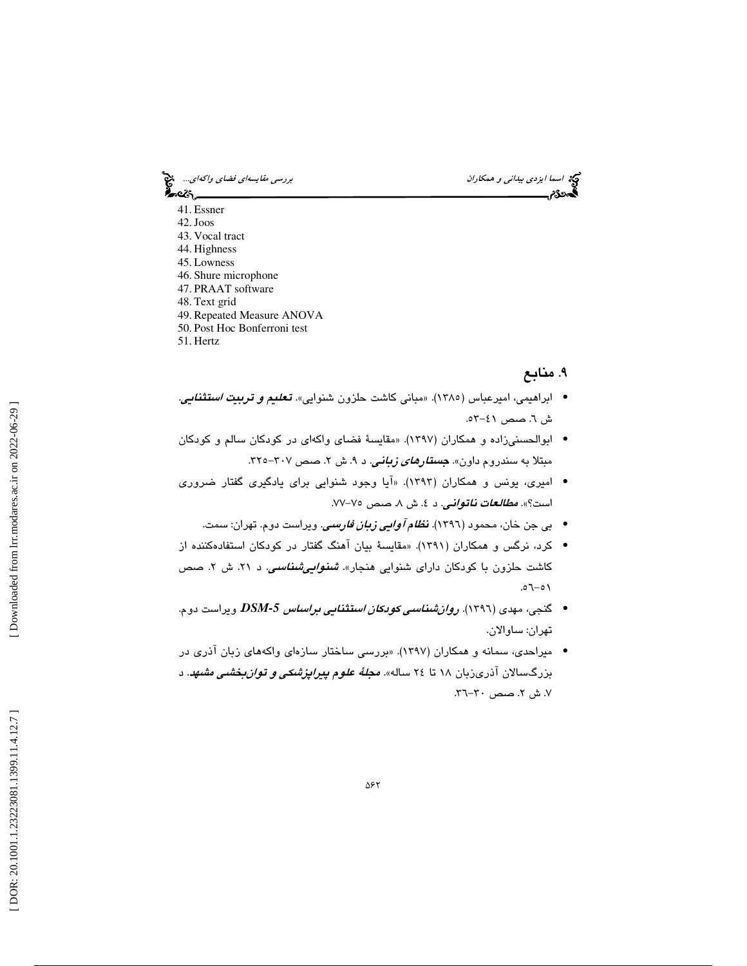اسما ايزدي *بيداني و همكاران بررسي مقايسهاي فضاي واكهاي..*. هي:<br>المجموع:<br>**المجموع: بررسي بررسي بررسي بررسي مقال وال**هاي والمجموعة والمجموعة والمجموعة والمجموعة والمجموعة والمجموعة

•్లు

- 41. Essner
- 42.Joos
- 43. Vocal tract 44. Highness
- 45. Lowness
- 46. Shure microphone
- 47. PRAAT software
- 48. Text grid
- 49. Repeated Measure ANOVA
- 50. Post Hoc Bonferroni test
- 51. Hertz

## . 9 منابع

- ابراهيمي، اميرعباس (1385). «مباني كاشت حلزون شنوايي». تعليم و تربيت استثنايي. ش ٦. صص ٤١-٥٣.
- ابوالحسنيزاده و همكاران (1397). «مقايسة فضاي واكهاي در كودكان سالم و كودكان مبتلا به سندروم داون». *جستار<i>های زبانی.* **د ۹**. ش ۲. صص ۳۰۷–۳۲۰
- اميري، يونس و همكاران (1393). «آيا وجود شنوايي براي يادگيري گفتار ضروري است؟». *مطالعات ناتواني*. د ٤. ش ٨. صص ٧٥–٧٧.
	- بي جن خان، محمود (1396). نظام آوايي زبان فارسي. ويراست دوم. تهران: سمت. •
- كرد، نرگس و همكاران (1391). «مقايسة بيان آهنگ گفتار در كودكان استفادهكننده از كاشت حلزون با كودكان دارای شنوایی هنجار». *شنو<i>ايیشناسی***. د ۲۱.** ش ۲. صص  $1 - 5$
- گنجي، مهدي (1396). روانشناسي كودكان استثنايي براساس *-5DSM*. ويراست دوم. تهران: ساوالان.
- ميراحدي، سمانه و همكاران (١٣٩٧). «بررسي ساختار سازهاي واكههاي زبان آذري در بزرگسالان آذریزبان ۱۸ تا ۲٤ ساله». *مجلهٔ علوم پیراپزشکی و تو<i>ان بخشی مشهد***.** د ۷. ش ۲. صص ۳۰-۳٦.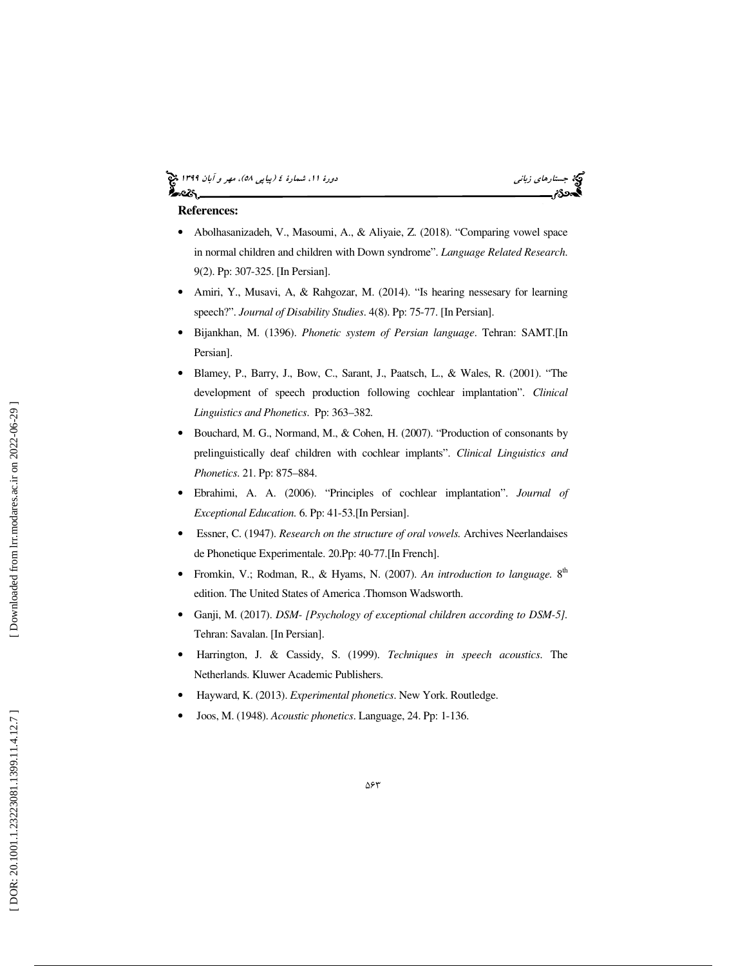## (پياپي 58)، مهر و آبان 1399 جستارهاي زباني دورة ،11 شمارة 4



#### **References:**

- Abolhasanizadeh, V., Masoumi, A., & Aliyaie, Z. (2018). "Comparing vowel space in normal children and children with Down syndrome" . *Language Related Research*. 9(2). Pp: 307-325. [In Persian].
- Amiri, Y., Musavi, A, & Rahgozar, M. (2014). "Is hearing nessesary for learning speech?". *Journal of Disability Studies*. 4(8). Pp: 75-77. [In Persian].
- Bijankhan, M. (1396). *Phonetic system of Persian language*. Tehran: SAMT.[In Persian].
- Blamey, P., Barry, J., Bow, C., Sarant, J., Paatsch, L., & Wales, R. (2001). "The development of speech production following cochlear implantation". *Clinical Linguistics and Phonetics*. Pp: 363–382.
- Bouchard, M. G., Normand, M., & Cohen, H. (2007). "Production of consonants by prelinguistically deaf children with cochlear implants". *Clinical Linguistics and Phonetics*. 21. Pp: 875–884.
- Ebrahimi, A. A. (2006). "Principles of cochlear implantation". *Journal of Exceptional Education.* 6. Pp: 41-53.[In Persian].
- Essner, C. (1947). *Research on the structure of oral vowels.* Archives Neerlandaises de Phonetique Experimentale. 20.Pp: 40-77.[In French].
- Fromkin, V.; Rodman, R., & Hyams, N. (2007). An *introduction to language*. 8<sup>th</sup> edition. The United States of America .Thomson Wadsworth.
- Ganji, M. (2017). *DSM- [Psychology of exceptional children according to DSM-5].* Tehran: Savalan. [In Persian].
- Harrington, J. & Cassidy, S. (1999). *Techniques in speech acoustics*. The Netherlands. Kluwer Academic Publishers.
- Hayward, K. (2013). *Experimental phonetics*. New York. Routledge.
- Joos, M. (1948). *Acoustic phonetics*. Language, 24. Pp: 1-136.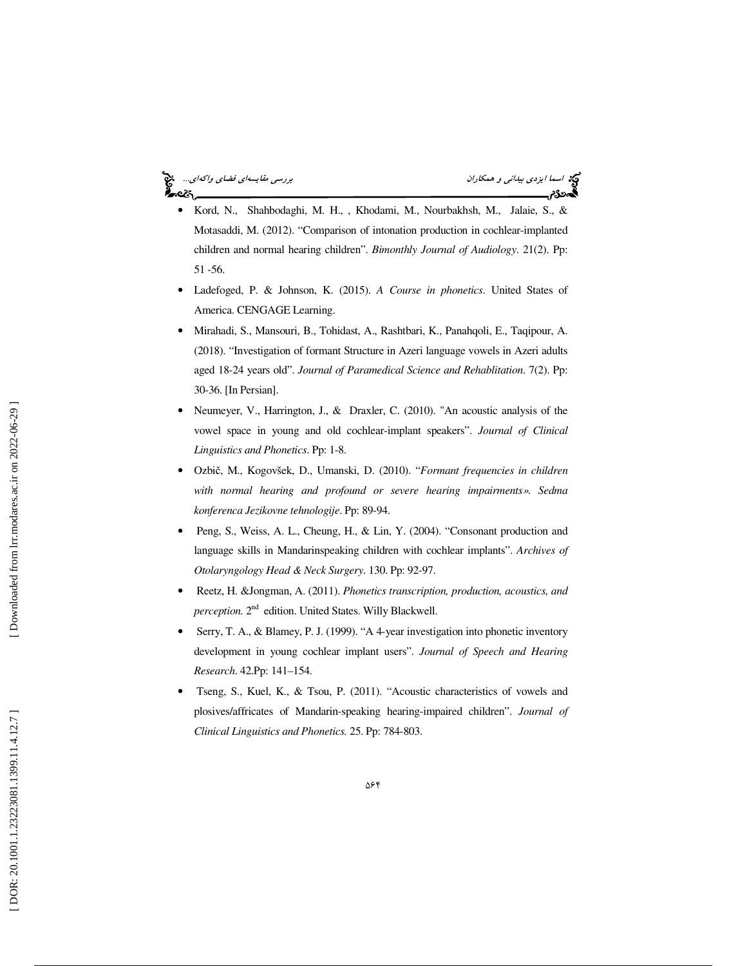## <u>ક</u>િન્દર,

- اسما ايزدي بيد*اني و همكاران بيداني و همكاران بررسي مقايسهاي فضاي واكهاي...*<br>**بررسي مقايسهاي فضاي والمقابل والمقابل والمقابل والمقابل والمقابل والمقابل والمقابل والمقابل فضاي واكه**اي...<br>**بهجودي بررسي**
- Kord, N., Shahbodaghi, M. H., , Khodami, M., Nourbakhsh, M., Jalaie, S., & Motasaddi, M. (2012). "Comparison of intonation production in cochlear-implanted children and normal hearing children". *Bimonthly Journal of Audiology*. 21(2). Pp: 51 -56.
- Ladefoged, P. & Johnson, K. (2015). *A Course in phonetics*. United States of America. CENGAGE Learning.
- Mirahadi, S., Mansouri, B., Tohidast, A., Rashtbari, K., Panahqoli, E., Taqipour, A. (2018). "Investigation of formant Structure in Azeri language vowels in Azeri adults aged 18-24 years old". *Journal of Paramedical Science and Rehablitation*. 7(2). Pp: 30-36. [In Persian].
- Neumeyer, V., Harrington, J., & Draxler, C. (2010). "An acoustic analysis of the vowel space in young and old cochlear-implant speakers". *Journal of Clinical Linguistics and Phonetics*. Pp: 1-8.
- Ozbi č, M., Kogovšek, D., Umanski, D. (2010). "*Formant frequencies in children with normal hearing and profound or severe hearing impairments* ». *Sedma konferenca Jezikovne tehnologije*. Pp: 89-94.
- Peng, S., Weiss, A. L., Cheung, H., & Lin, Y. (2004). "Consonant production and language skills in Mandarinspeaking children with cochlear implants". *Archives of Otolaryngology Head & Neck Surgery*. 130. Pp: 92-97.
- Reetz, H. &Jongman, A. (2011). *Phonetics transcription, production, acoustics, and* perception. 2<sup>nd</sup> edition. United States. Willy Blackwell.
- Serry, T. A., & Blamey, P. J. (1999). "A 4-year investigation into phonetic inventory development in young cochlear implant users". *Journal of Speech and Hearing Research*. 42.Pp: 141–154.
- Tseng, S., Kuel, K., & Tsou, P. (2011). "Acoustic characteristics of vowels and plosives/affricates of Mandarin-speaking hearing-impaired children". *Journal of Clinical Linguistics and Phonetics.* 25. Pp: 784-803.